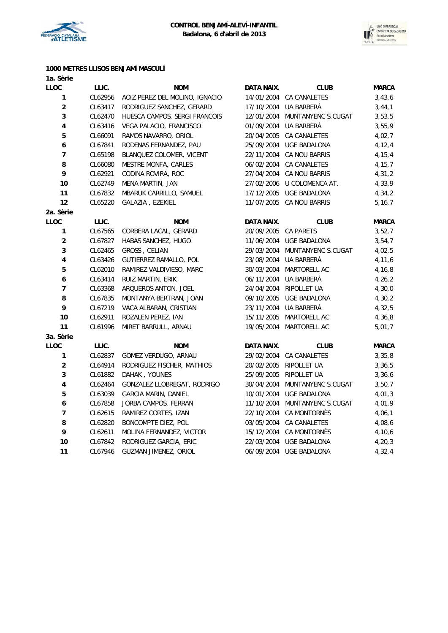



### **1000 METRES LLISOS BENJAMÍ MASCULÍ**

| 1a. Sèrie               |         |                                |                      |                               |              |
|-------------------------|---------|--------------------------------|----------------------|-------------------------------|--------------|
| <b>LLOC</b>             | LLIC.   | <b>NOM</b>                     | DATA NAIX.           | <b>CLUB</b>                   | <b>MARCA</b> |
| 1                       | CL62956 | AOIZ PEREZ DEL MOLINO, IGNACIO |                      | 14/01/2004 CA CANALETES       | 3,43,6       |
| $\boldsymbol{2}$        | CL63417 | RODRIGUEZ SANCHEZ, GERARD      |                      | 17/10/2004 UA BARBERÀ         | 3,44,1       |
| 3                       | CL62470 | HUESCA CAMPOS, SERGI FRANCOIS  |                      | 12/01/2004 MUNTANYENC S.CUGAT | 3,53,5       |
| $\overline{\mathbf{4}}$ | CL63416 | VEGA PALACIO, FRANCISCO        |                      | 01/09/2004 UA BARBERA         | 3,55,9       |
| 5                       | CL66091 | RAMOS NAVARRO, ORIOL           |                      | 20/04/2005 CA CANALETES       | 4,02,7       |
| $\boldsymbol{6}$        | CL67841 | RODENAS FERNANDEZ, PAU         |                      | 25/09/2004 UGE BADALONA       | 4,12,4       |
| $\overline{7}$          | CL65198 | BLANQUEZ COLOMER, VICENT       |                      | 22/11/2004 CA NOU BARRIS      | 4,15,4       |
| 8                       | CL66080 | MESTRE MONFA, CARLES           |                      | 06/02/2004 CA CANALETES       | 4, 15, 7     |
| 9                       | CL62921 | CODINA ROVIRA, ROC             |                      | 27/04/2004 CA NOU BARRIS      | 4,31,2       |
| 10                      | CL62749 | MENA MARTIN, JAN               |                      | 27/02/2006 U COLOMENCA AT.    | 4,33,9       |
| 11                      | CL67832 | MBARUK CARRILLO, SAMUEL        |                      | 17/12/2005 UGE BADALONA       | 4,34,2       |
| 12                      | CL65220 | GALAZIA, EZEKIEL               |                      | 11/07/2005 CA NOU BARRIS      | 5, 16, 7     |
| 2a. Sèrie               |         |                                |                      |                               |              |
| <b>LLOC</b>             | LLIC.   | <b>NOM</b>                     | DATA NAIX.           | <b>CLUB</b>                   | <b>MARCA</b> |
| $\mathbf{1}$            | CL67565 | CORBERA LACAL, GERARD          | 20/09/2005 CA PARETS |                               | 3,52,7       |
| $\boldsymbol{2}$        | CL67827 | HABAS SANCHEZ, HUGO            |                      | 11/06/2004 UGE BADALONA       | 3,54,7       |
| 3                       | CL62465 | GROSS, CELIAN                  |                      | 29/03/2004 MUNTANYENC S.CUGAT | 4,02,5       |
| $\overline{\mathbf{4}}$ | CL63426 | GUTIERREZ RAMALLO, POL         |                      | 23/08/2004 UA BARBERÀ         | 4,11,6       |
| $\overline{5}$          | CL62010 | RAMIREZ VALDIVIESO, MARC       |                      | 30/03/2004 MARTORELL AC       | 4,16,8       |
| $\boldsymbol{6}$        | CL63414 | RUIZ MARTIN, ERIK              |                      | 06/11/2004 UA BARBERÀ         | 4,26,2       |
| $\overline{7}$          | CL63368 | ARQUEROS ANTON, JOEL           |                      | 24/04/2004 RIPOLLET UA        | 4,30,0       |
| 8                       | CL67835 | MONTANYA BERTRAN, JOAN         |                      | 09/10/2005 UGE BADALONA       | 4, 30, 2     |
| 9                       | CL67219 | VACA ALBARAN, CRISTIAN         |                      | 23/11/2004 UA BARBERA         | 4,32,5       |
| 10                      | CL62911 | ROZALEN PEREZ, IAN             |                      | 15/11/2005 MARTORELL AC       | 4,36,8       |
| 11                      | CL61996 | MIRET BARRULL, ARNAU           |                      | 19/05/2004 MARTORELL AC       | 5,01,7       |
| 3a. Sèrie               |         |                                |                      |                               |              |
| LLOC                    | LLIC.   | <b>NOM</b>                     | DATA NAIX.           | <b>CLUB</b>                   | <b>MARCA</b> |
| 1                       | CL62837 | GOMEZ VERDUGO, ARNAU           |                      | 29/02/2004 CA CANALETES       | 3,35,8       |
| $\boldsymbol{2}$        | CL64914 | RODRIGUEZ FISCHER, MATHIOS     |                      | 20/02/2005 RIPOLLET UA        | 3,36,5       |
| 3                       | CL61882 | DAHAK, YOUNES                  |                      | 25/09/2005 RIPOLLET UA        | 3,36,6       |
| $\pmb{4}$               | CL62464 | GONZALEZ LLOBREGAT, RODRIGO    |                      | 30/04/2004 MUNTANYENC S.CUGAT | 3,50,7       |
| 5                       | CL63039 | <b>GARCIA MARIN, DANIEL</b>    |                      | 10/01/2004 UGE BADALONA       | 4,01,3       |
| $\boldsymbol{6}$        | CL67858 | JORBA CAMPOS, FERRAN           |                      | 11/10/2004 MUNTANYENC S.CUGAT | 4,01,9       |
| $\overline{7}$          | CL62615 | RAMIREZ CORTES, IZAN           |                      | 22/10/2004 CA MONTORNÉS       | 4,06,1       |
| 8                       | CL62820 | BONCOMPTE DIEZ, POL            |                      | 03/05/2004 CA CANALETES       | 4,08,6       |
| 9                       | CL62611 | MOLINA FERNANDEZ, VICTOR       |                      | 15/12/2004 CA MONTORNÉS       | 4,10,6       |
| 10                      | CL67842 | RODRIGUEZ GARCIA, ERIC         |                      | 22/03/2004 UGE BADALONA       | 4, 20, 3     |
| 11                      | CL67946 | GUZMAN JIMENEZ, ORIOL          |                      | 06/09/2004 UGE BADALONA       | 4,32,4       |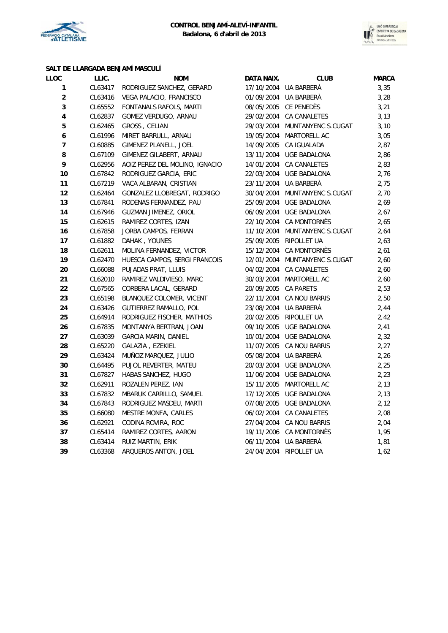



## **SALT DE LLARGADA BENJAMÍ MASCULÍ**

| LLOC                    | LLIC.   | <b>NOM</b>                     | DATA NAIX.           | <b>CLUB</b>                   | <b>MARCA</b> |
|-------------------------|---------|--------------------------------|----------------------|-------------------------------|--------------|
| 1                       | CL63417 | RODRIGUEZ SANCHEZ, GERARD      |                      | 17/10/2004 UA BARBERÀ         | 3,35         |
| $\overline{\mathbf{c}}$ | CL63416 | VEGA PALACIO, FRANCISCO        |                      | 01/09/2004 UA BARBERÀ         | 3,28         |
| 3                       | CL65552 | FONTANALS RAFOLS, MARTI        |                      | 08/05/2005 CE PENEDÈS         | 3,21         |
| 4                       | CL62837 | GOMEZ VERDUGO, ARNAU           |                      | 29/02/2004 CA CANALETES       | 3,13         |
| 5                       | CL62465 | GROSS, CELIAN                  |                      | 29/03/2004 MUNTANYENC S.CUGAT | 3,10         |
| 6                       | CL61996 | MIRET BARRULL, ARNAU           |                      | 19/05/2004 MARTORELL AC       | 3,05         |
| $\overline{7}$          | CL60885 | GIMENEZ PLANELL, JOEL          |                      | 14/09/2005 CA IGUALADA        | 2,87         |
| 8                       | CL67109 | GIMENEZ GILABERT, ARNAU        |                      | 13/11/2004 UGE BADALONA       | 2,86         |
| 9                       | CL62956 | AOIZ PEREZ DEL MOLINO, IGNACIO |                      | 14/01/2004 CA CANALETES       | 2,83         |
| 10                      | CL67842 | RODRIGUEZ GARCIA, ERIC         |                      | 22/03/2004 UGE BADALONA       | 2,76         |
| 11                      | CL67219 | VACA ALBARAN, CRISTIAN         | 23/11/2004           | UA BARBERÀ                    | 2,75         |
| 12                      | CL62464 | GONZALEZ LLOBREGAT, RODRIGO    | 30/04/2004           | MUNTANYENC S.CUGAT            | 2,70         |
| 13                      | CL67841 | RODENAS FERNANDEZ, PAU         | 25/09/2004           | UGE BADALONA                  | 2,69         |
| 14                      | CL67946 | GUZMAN JIMENEZ, ORIOL          |                      | 06/09/2004 UGE BADALONA       | 2,67         |
| 15                      | CL62615 | RAMIREZ CORTES, IZAN           |                      | 22/10/2004 CA MONTORNÈS       | 2,65         |
| 16                      | CL67858 | JORBA CAMPOS, FERRAN           |                      | 11/10/2004 MUNTANYENC S.CUGAT | 2,64         |
| $17$                    | CL61882 | DAHAK, YOUNES                  |                      | 25/09/2005 RIPOLLET UA        | 2,63         |
| $18\,$                  | CL62611 | MOLINA FERNANDEZ, VICTOR       |                      | 15/12/2004 CA MONTORNÈS       | 2,61         |
| 19                      | CL62470 | HUESCA CAMPOS, SERGI FRANCOIS  |                      | 12/01/2004 MUNTANYENC S.CUGAT | 2,60         |
| 20                      | CL66088 | PUJADAS PRAT, LLUIS            |                      | 04/02/2004 CA CANALETES       | 2,60         |
| 21                      | CL62010 | RAMIREZ VALDIVIESO, MARC       |                      | 30/03/2004 MARTORELL AC       | 2,60         |
| $22\,$                  | CL67565 | CORBERA LACAL, GERARD          | 20/09/2005 CA PARETS |                               | 2,53         |
| 23                      | CL65198 | BLANQUEZ COLOMER, VICENT       |                      | 22/11/2004 CA NOU BARRIS      | 2,50         |
| 24                      | CL63426 | GUTIERREZ RAMALLO, POL         |                      | 23/08/2004 UA BARBERA         | 2,44         |
| 25                      | CL64914 | RODRIGUEZ FISCHER, MATHIOS     |                      | 20/02/2005 RIPOLLET UA        | 2,42         |
| 26                      | CL67835 | MONTANYA BERTRAN, JOAN         |                      | 09/10/2005 UGE BADALONA       | 2,41         |
| 27                      | CL63039 | <b>GARCIA MARIN, DANIEL</b>    |                      | 10/01/2004 UGE BADALONA       | 2,32         |
| 28                      | CL65220 | GALAZIA, EZEKIEL               |                      | 11/07/2005 CA NOU BARRIS      | 2,27         |
| 29                      | CL63424 | MUÑOZ MARQUEZ, JULIO           |                      | 05/08/2004 UA BARBERÀ         | 2,26         |
| 30                      | CL64495 | PUJOL REVERTER, MATEU          |                      | 20/03/2004 UGE BADALONA       | 2,25         |
| 31                      | CL67827 | HABAS SANCHEZ, HUGO            |                      | 11/06/2004 UGE BADALONA       | 2,23         |
| 32                      | CL62911 | ROZALEN PEREZ, IAN             |                      | 15/11/2005 MARTORELL AC       | 2,13         |
| 33                      | CL67832 | MBARUK CARRILLO, SAMUEL        |                      | 17/12/2005 UGE BADALONA       | 2,13         |
| 34                      | CL67843 | RODRIGUEZ MASDEU, MARTI        |                      | 07/08/2005 UGE BADALONA       | 2,12         |
| 35                      | CL66080 | MESTRE MONFA, CARLES           |                      | 06/02/2004 CA CANALETES       | 2,08         |
| 36                      | CL62921 | CODINA ROVIRA, ROC             |                      | 27/04/2004 CA NOU BARRIS      | 2,04         |
| 37                      | CL65414 | RAMIREZ CORTES, AARON          |                      | 19/11/2006 CA MONTORNÈS       | 1,95         |
| 38                      | CL63414 | RUIZ MARTIN, ERIK              |                      | 06/11/2004 UA BARBERÀ         | 1,81         |
| 39                      | CL63368 | ARQUEROS ANTON, JOEL           |                      | 24/04/2004 RIPOLLET UA        | 1,62         |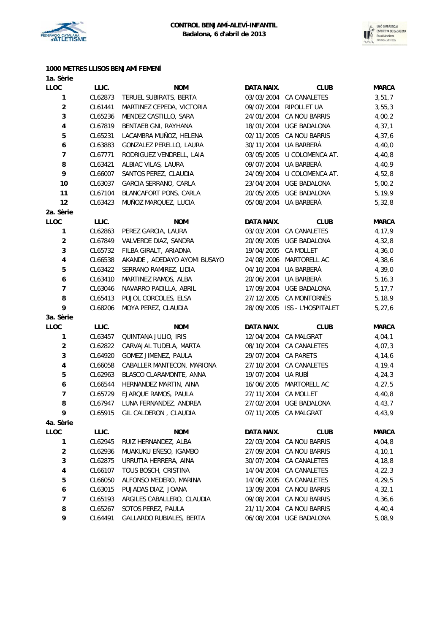



## **1000 METRES LLISOS BENJAMÍ FEMENÍ**

| 1a. Sèrie                |         |                              |                      |                               |              |
|--------------------------|---------|------------------------------|----------------------|-------------------------------|--------------|
| LLOC                     | LLIC.   | <b>NOM</b>                   | DATA NAIX.           | <b>CLUB</b>                   | <b>MARCA</b> |
| 1                        | CL62873 | TERUEL SUBIRATS, BERTA       | 03/03/2004           | CA CANALETES                  | 3,51,7       |
| $\boldsymbol{2}$         | CL61441 | MARTINEZ CEPEDA, VICTORIA    | 09/07/2004           | RIPOLLET UA                   | 3,55,3       |
| 3                        | CL65236 | MENDEZ CASTILLO, SARA        | 24/01/2004           | CA NOU BARRIS                 | 4,00,2       |
| 4                        | CL67819 | BENTAEB GNI, RAYHANA         |                      | 18/01/2004 UGE BADALONA       | 4, 37, 1     |
| 5                        | CL65231 | LACAMBRA MUÑOZ, HELENA       |                      | 02/11/2005 CA NOU BARRIS      | 4,37,6       |
| $\boldsymbol{6}$         | CL63883 | GONZALEZ PERELLO, LAURA      |                      | 30/11/2004 UA BARBERÀ         | 4,40,0       |
| $\overline{7}$           | CL67771 | RODRIGUEZ VENDRELL, LAIA     |                      | 03/05/2005 U COLOMENCA AT.    | 4,40,8       |
| 8                        | CL63421 | ALBIAC VILAS, LAURA          |                      | 09/07/2004 UA BARBERÀ         | 4,40,9       |
| 9                        | CL66007 | SANTOS PEREZ, CLAUDIA        |                      | 24/09/2004 U COLOMENCA AT.    | 4,52,8       |
| 10                       | CL63037 | GARCIA SERRANO, CARLA        |                      | 23/04/2004 UGE BADALONA       | 5,00,2       |
| 11                       | CL67104 | BLANCAFORT PONS, CARLA       | 20/05/2005           | <b>UGE BADALONA</b>           | 5, 19, 9     |
| 12                       | CL63423 | MUÑOZ MARQUEZ, LUCIA         |                      | 05/08/2004 UA BARBERÀ         | 5,32,8       |
| 2a. Sèrie                |         |                              |                      |                               |              |
| LLOC                     | LLIC.   | <b>NOM</b>                   | DATA NAIX.           | <b>CLUB</b>                   | <b>MARCA</b> |
| $\mathbf{1}$             | CL62863 | PEREZ GARCIA, LAURA          |                      | 03/03/2004 CA CANALETES       | 4,17,9       |
| $\boldsymbol{2}$         | CL67849 | VALVERDE DIAZ, SANDRA        |                      | 20/09/2005 UGE BADALONA       | 4,32,8       |
| 3                        | CL65732 | FILBA GIRALT, ARIADNA        | 19/04/2005 CA MOLLET |                               | 4,36,0       |
| $\pmb{4}$                | CL66538 | AKANDE, ADEDAYO AYOMI BUSAYO |                      | 24/08/2006 MARTORELL AC       | 4,38,6       |
| 5                        | CL63422 | SERRANO RAMIREZ, LIDIA       | 04/10/2004           | UA BARBERÀ                    | 4,39,0       |
| $\boldsymbol{6}$         | CL63410 | MARTINEZ RAMOS, ALBA         |                      | 20/06/2004 UA BARBERÀ         | 5, 16, 3     |
| $\overline{7}$           | CL63046 | NAVARRO PADILLA, ABRIL       |                      | 17/09/2004 UGE BADALONA       | 5, 17, 7     |
| 8                        | CL65413 | PUJOL CORCOLES, ELSA         |                      | 27/12/2005 CA MONTORNÈS       | 5, 18, 9     |
| 9                        | CL68206 | MOYA PEREZ, CLAUDIA          |                      | 28/09/2005 ISS - L'HOSPITALET | 5, 27, 6     |
| 3a. Sèrie                |         |                              |                      |                               |              |
| LLOC                     | LLIC.   | <b>NOM</b>                   | DATA NAIX.           | <b>CLUB</b>                   | <b>MARCA</b> |
| 1                        | CL63457 | QUINTANA JULIO, IRIS         |                      | 12/04/2004 CA MALGRAT         | 4,04,1       |
| $\overline{\mathbf{c}}$  | CL62822 | CARVAJAL TUDELA, MARTA       | 08/10/2004           | CA CANALETES                  | 4,07,3       |
| 3                        | CL64920 | GOMEZ JIMENEZ, PAULA         | 29/07/2004 CA PARETS |                               | 4,14,6       |
| $\overline{\mathbf{4}}$  | CL66058 | CABALLER MANTECON, MARIONA   |                      | 27/10/2004 CA CANALETES       | 4,19,4       |
| 5                        | CL62963 | BLASCO CLARAMONTE, ANNA      | 19/07/2004 UA RUBÍ   |                               | 4, 24, 3     |
| $\boldsymbol{6}$         | CL66544 | HERNANDEZ MARTIN, AINA       |                      | 16/06/2005 MARTORELL AC       | 4,27,5       |
| $\overline{\phantom{a}}$ | CL65729 | EJARQUE RAMOS, PAULA         | 27/11/2004 CA MOLLET |                               | 4,40,8       |
| 8                        | CL67947 | LUNA FERNANDEZ, ANDREA       |                      | 27/02/2004 UGE BADALONA       | 4,43,7       |
| 9                        | CL65915 | GIL CALDERON, CLAUDIA        |                      | 07/11/2005 CA MALGRAT         | 4,43,9       |
| 4a. Sèrie                |         |                              |                      |                               |              |
| LLOC                     | LLIC.   | <b>NOM</b>                   | DATA NAIX.           | <b>CLUB</b>                   | <b>MARCA</b> |
| 1                        | CL62945 | RUIZ HERNANDEZ, ALBA         | 22/03/2004           | CA NOU BARRIS                 | 4,04,8       |
| $\boldsymbol{2}$         | CL62936 | MUAKUKU EÑESO, IGAMBO        | 27/09/2004           | CA NOU BARRIS                 | 4,10,1       |
| 3                        | CL62875 | URRUTIA HERRERA, AINA        | 30/07/2004           | CA CANALETES                  | 4,18,8       |
| 4                        | CL66107 | TOUS BOSCH, CRISTINA         | 14/04/2004           | CA CANALETES                  | 4,22,3       |
| 5                        | CL66050 | ALFONSO MEDERO, MARINA       | 14/06/2005           | CA CANALETES                  | 4,29,5       |
| $\boldsymbol{6}$         | CL63015 | PUJADAS DIAZ, JOANA          | 13/09/2004           | CA NOU BARRIS                 | 4,32,1       |
| $\overline{7}$           | CL65193 | ARGILES CABALLERO, CLAUDIA   | 09/08/2004           | CA NOU BARRIS                 | 4,36,6       |
| 8                        | CL65267 | SOTOS PEREZ, PAULA           | 21/11/2004           | CA NOU BARRIS                 | 4,40,4       |
| 9                        | CL64491 | GALLARDO RUBIALES, BERTA     |                      | 06/08/2004 UGE BADALONA       | 5,08,9       |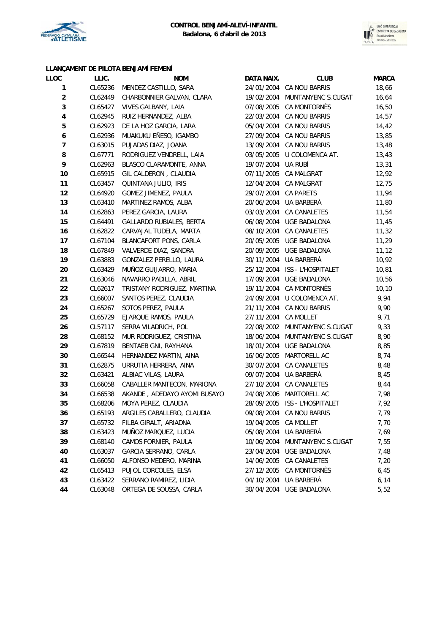



### **LLANÇAMENT DE PILOTA BENJAMÍ FEMENÍ**

| LLOC                     | LLIC.   | <b>NOM</b>                         | DATA NAIX.           | <b>CLUB</b>                   | <b>MARCA</b> |
|--------------------------|---------|------------------------------------|----------------------|-------------------------------|--------------|
| 1                        | CL65236 | MENDEZ CASTILLO, SARA              |                      | 24/01/2004 CA NOU BARRIS      | 18,66        |
| $\mathbf 2$              | CL62449 | CHARBONNIER GALVAN, CLARA          |                      | 19/02/2004 MUNTANYENC S.CUGAT | 16,64        |
| 3                        | CL65427 | VIVES GALBANY, LAIA                |                      | 07/08/2005 CA MONTORNÈS       | 16,50        |
| $\overline{\mathbf{4}}$  | CL62945 | RUIZ HERNANDEZ, ALBA               |                      | 22/03/2004 CA NOU BARRIS      | 14,57        |
| 5                        | CL62923 | DE LA HOZ GARCIA, LARA             |                      | 05/04/2004 CA NOU BARRIS      | 14,42        |
| 6                        | CL62936 | MUAKUKU EÑESO, IGAMBO              |                      | 27/09/2004 CA NOU BARRIS      | 13,85        |
| $\overline{\phantom{a}}$ | CL63015 | PUJADAS DIAZ, JOANA                |                      | 13/09/2004 CA NOU BARRIS      | 13,48        |
| 8                        | CL67771 | RODRIGUEZ VENDRELL, LAIA           |                      | 03/05/2005 U COLOMENCA AT.    | 13,43        |
| 9                        | CL62963 | BLASCO CLARAMONTE, ANNA            | 19/07/2004 UA RUBÍ   |                               | 13,31        |
| 10                       | CL65915 | GIL CALDERON, CLAUDIA              |                      | 07/11/2005 CA MALGRAT         | 12,92        |
| 11                       | CL63457 | QUINTANA JULIO, IRIS               |                      | 12/04/2004 CA MALGRAT         | 12,75        |
| 12                       | CL64920 | GOMEZ JIMENEZ, PAULA               | 29/07/2004 CA PARETS |                               | 11,94        |
| 13                       | CL63410 | MARTINEZ RAMOS, ALBA               |                      | 20/06/2004 UA BARBERÀ         | 11,80        |
| 14                       | CL62863 | PEREZ GARCIA, LAURA                |                      | 03/03/2004 CA CANALETES       | 11,54        |
| 15                       | CL64491 | GALLARDO RUBIALES, BERTA           |                      | 06/08/2004 UGE BADALONA       | 11,45        |
| 16                       | CL62822 | CARVAJAL TUDELA, MARTA             |                      | 08/10/2004 CA CANALETES       | 11,32        |
| 17                       | CL67104 | BLANCAFORT PONS, CARLA             |                      | 20/05/2005 UGE BADALONA       | 11,29        |
| 18                       | CL67849 | VALVERDE DIAZ, SANDRA              |                      | 20/09/2005 UGE BADALONA       | 11, 12       |
| 19                       | CL63883 | GONZALEZ PERELLO, LAURA            |                      | 30/11/2004 UA BARBERÀ         | 10,92        |
| 20                       | CL63429 | MUÑOZ GUIJARRO, MARIA              |                      | 25/12/2004 ISS - L'HOSPITALET | 10,81        |
| 21                       | CL63046 | NAVARRO PADILLA, ABRIL             |                      | 17/09/2004 UGE BADALONA       | 10,56        |
| 22                       | CL62617 | TRISTANY RODRIGUEZ, MARTINA        |                      | 19/11/2004 CA MONTORNÈS       | 10, 10       |
| 23                       | CL66007 | SANTOS PEREZ, CLAUDIA              |                      | 24/09/2004 U COLOMENCA AT.    | 9,94         |
| 24                       | CL65267 | SOTOS PEREZ, PAULA                 |                      | 21/11/2004 CA NOU BARRIS      | 9,90         |
| 25                       | CL65729 | EJARQUE RAMOS, PAULA               | 27/11/2004 CA MOLLET |                               | 9,71         |
| 26                       | CL57117 | SERRA VILADRICH, POL               |                      | 22/08/2002 MUNTANYENC S.CUGAT | 9,33         |
| 28                       | CL68152 | MUR RODRIGUEZ, CRISTINA            |                      | 18/06/2004 MUNTANYENC S.CUGAT | 8,90         |
| 29                       | CL67819 | BENTAEB GNI, RAYHANA               |                      | 18/01/2004 UGE BADALONA       | 8,85         |
| 30                       | CL66544 | HERNANDEZ MARTIN, AINA             | 16/06/2005           | MARTORELL AC                  | 8,74         |
| 31                       | CL62875 | URRUTIA HERRERA, AINA              |                      | 30/07/2004 CA CANALETES       | 8,48         |
| 32                       | CL63421 | ALBIAC VILAS, LAURA                |                      | 09/07/2004 UA BARBERÀ         | 8,45         |
| 33                       | CL66058 | CABALLER MANTECON, MARIONA         |                      | 27/10/2004 CA CANALETES       | 8,44         |
| 34                       | CL66538 | AKANDE, ADEDAYO AYOMI BUSAYO       |                      | 24/08/2006 MARTORELL AC       | 7,98         |
| 35                       | CL68206 | MOYA PEREZ, CLAUDIA                |                      | 28/09/2005 ISS - L'HOSPITALET | 7,92         |
| 36                       |         | CL65193 ARGILES CABALLERO, CLAUDIA |                      | 09/08/2004 CA NOU BARRIS      | 7,79         |
| 37                       | CL65732 | FILBA GIRALT, ARIADNA              | 19/04/2005           | CA MOLLET                     | 7,70         |
| 38                       | CL63423 | MUÑOZ MARQUEZ, LUCIA               | 05/08/2004           | UA BARBERÀ                    | 7,69         |
| 39                       | CL68140 | CAMOS FORNIER, PAULA               | 10/06/2004           | MUNTANYENC S.CUGAT            | 7,55         |
| 40                       | CL63037 | GARCIA SERRANO, CARLA              | 23/04/2004           | UGE BADALONA                  | 7,48         |
| 41                       | CL66050 | ALFONSO MEDERO, MARINA             | 14/06/2005           | CA CANALETES                  | 7,20         |
| 42                       | CL65413 | PUJOL CORCOLES, ELSA               | 27/12/2005           | CA MONTORNÈS                  | 6,45         |
| 43                       | CL63422 | SERRANO RAMIREZ, LIDIA             | 04/10/2004           | UA BARBERÀ                    | 6,14         |
| 44                       | CL63048 | ORTEGA DE SOUSSA, CARLA            | 30/04/2004           | UGE BADALONA                  | 5,52         |
|                          |         |                                    |                      |                               |              |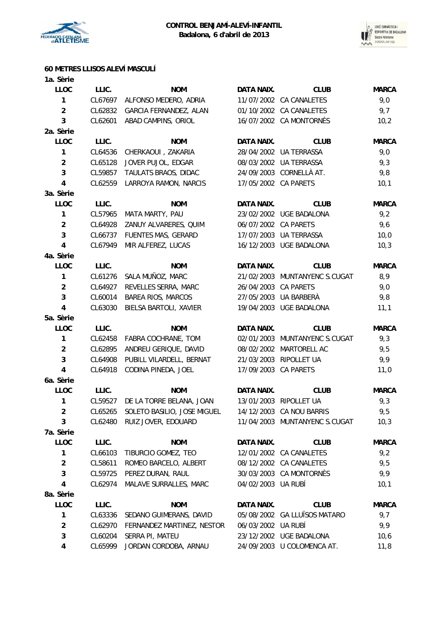



# **60 METRES LLISOS ALEVÍ MASCULÍ**

| 1a. Sèrie               |         |                                     |                      |                               |              |
|-------------------------|---------|-------------------------------------|----------------------|-------------------------------|--------------|
| <b>LLOC</b>             | LLIC.   | <b>NOM</b>                          | <b>DATA NAIX.</b>    | <b>CLUB</b>                   | <b>MARCA</b> |
| $\mathbf{1}$            | CL67697 | ALFONSO MEDERO, ADRIA               |                      | 11/07/2002 CA CANALETES       | 9,0          |
| $\overline{c}$          | CL62832 | GARCIA FERNANDEZ, ALAN              |                      | 01/10/2002 CA CANALETES       | 9,7          |
| 3                       | CL62601 | ABAD CAMPINS, ORIOL                 |                      | 16/07/2002 CA MONTORNÈS       | 10,2         |
| 2a. Sèrie               |         |                                     |                      |                               |              |
| <b>LLOC</b>             | LLIC.   | <b>NOM</b>                          | DATA NAIX.           | <b>CLUB</b>                   | <b>MARCA</b> |
| $\mathbf{1}$            | CL64536 | CHERKAOUI, ZAKARIA                  |                      | 28/04/2002 UA TERRASSA        | 9,0          |
| $\overline{c}$          | CL65128 | JOVER PUJOL, EDGAR                  |                      | 08/03/2002 UA TERRASSA        | 9,3          |
| 3                       | CL59857 | TAULATS BRAOS, DIDAC                |                      | 24/09/2003 CORNELLÀ AT.       | 9,8          |
| 4                       | CL62559 | LARROYA RAMON, NARCIS               | 17/05/2002 CA PARETS |                               | 10,1         |
| 3a. Sèrie               |         |                                     |                      |                               |              |
| <b>LLOC</b>             | LLIC.   | <b>NOM</b>                          | DATA NAIX.           | <b>CLUB</b>                   | <b>MARCA</b> |
| $\mathbf{1}$            | CL57965 | MATA MARTY, PAU                     |                      | 23/02/2002 UGE BADALONA       | 9,2          |
| $\overline{\mathbf{c}}$ | CL64928 | ZANUY ALVARERES, QUIM               | 06/07/2002 CA PARETS |                               | 9,6          |
| 3                       | CL66737 | FUENTES MAS, GERARD                 |                      | 17/07/2003 UA TERRASSA        | 10,0         |
| 4                       | CL67949 | MIR ALFEREZ, LUCAS                  |                      | 16/12/2003 UGE BADALONA       | 10,3         |
| 4a. Sèrie               |         |                                     |                      |                               |              |
| <b>LLOC</b>             | LLIC.   | <b>NOM</b>                          | <b>DATA NAIX.</b>    | <b>CLUB</b>                   | <b>MARCA</b> |
| $\mathbf{1}$            | CL61276 | SALA MUÑOZ, MARC                    |                      | 21/02/2003 MUNTANYENC S.CUGAT | 8,9          |
| $\overline{c}$          | CL64927 | REVELLES SERRA, MARC                | 26/04/2003 CA PARETS |                               | 9,0          |
| 3                       | CL60014 | <b>BAREA RIOS, MARCOS</b>           |                      | 27/05/2003 UA BARBERÀ         | 9,8          |
| $\overline{\mathbf{4}}$ | CL63030 | BIELSA BARTOLI, XAVIER              |                      | 19/04/2003 UGE BADALONA       | 11,1         |
| 5a. Sèrie               |         |                                     |                      |                               |              |
| <b>LLOC</b>             | LLIC.   | <b>NOM</b>                          | DATA NAIX.           | <b>CLUB</b>                   | <b>MARCA</b> |
| $\mathbf{1}$            | CL62458 | FABRA COCHRANE, TOM                 | 02/01/2003           | MUNTANYENC S.CUGAT            | 9,3          |
| $\overline{c}$          | CL62895 | ANDREU GERIQUE, DAVID               |                      | 08/02/2002 MARTORELL AC       | 9,5          |
| 3                       | CL64908 | PUBILL VILARDELL, BERNAT            |                      | 21/03/2003 RIPOLLET UA        | 9,9          |
| 4                       | CL64918 | CODINA PINEDA, JOEL                 | 17/09/2003 CA PARETS |                               | 11,0         |
| 6a. Sèrie               |         |                                     |                      |                               |              |
| <b>LLOC</b>             | LLIC.   | <b>NOM</b>                          | DATA NAIX.           | <b>CLUB</b>                   | <b>MARCA</b> |
| 1                       | CL59527 | DE LA TORRE BELANA, JOAN            |                      | 13/01/2003 RIPOLLET UA        | 9,3          |
| $\overline{\mathbf{c}}$ |         | CL65265 SOLETO BASILIO, JOSE MIGUEL |                      | 14/12/2003 CA NOU BARRIS      | 9,5          |
| 3                       | CL62480 | RUIZ JOVER, EDOUARD                 |                      | 11/04/2003 MUNTANYENC S.CUGAT | 10,3         |
| 7a. Sèrie               |         |                                     |                      |                               |              |
| LLOC                    | LLIC.   | <b>NOM</b>                          | DATA NAIX.           | <b>CLUB</b>                   | <b>MARCA</b> |
| $\mathbf{1}$            | CL66103 | TIBURCIO GOMEZ, TEO                 |                      | 12/01/2002 CA CANALETES       | 9,2          |
| $\overline{\mathbf{c}}$ | CL58611 | ROMEO BARCELO, ALBERT               |                      | 08/12/2002 CA CANALETES       | 9,5          |
| 3                       | CL59725 | PEREZ DURAN, RAUL                   |                      | 30/03/2003 CA MONTORNÈS       | 9,9          |
| 4                       | CL62974 | MALAVE SURRALLES, MARC              | 04/02/2003 UA RUBÍ   |                               | 10,1         |
| 8a. Sèrie               |         |                                     |                      |                               |              |
| <b>LLOC</b>             | LLIC.   | <b>NOM</b>                          | DATA NAIX.           | <b>CLUB</b>                   | <b>MARCA</b> |
| $\mathbf{1}$            | CL63336 | SEDANO GUIMERANS, DAVID             |                      | 05/08/2002 GA LLUÏSOS MATARO  | 9,7          |
| $\overline{\mathbf{c}}$ | CL62970 | FERNANDEZ MARTINEZ, NESTOR          | 06/03/2002 UA RUBÍ   |                               | 9,9          |
| 3                       | CL60204 | SERRA PI, MATEU                     |                      | 23/12/2002 UGE BADALONA       | 10, 6        |
| 4                       |         | CL65999 JORDAN CORDOBA, ARNAU       |                      | 24/09/2003 U COLOMENCA AT.    | 11,8         |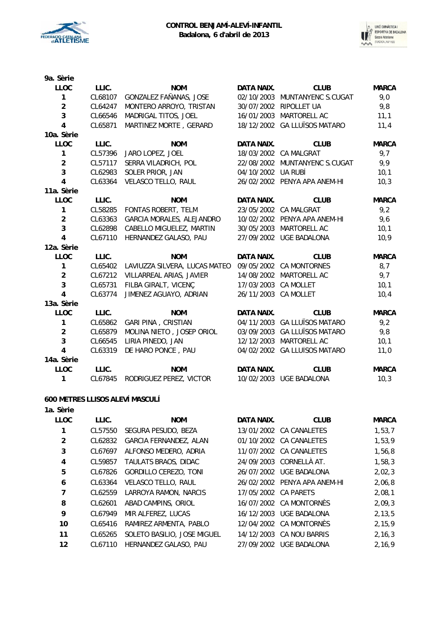



| 9a. Sèrie               |         |                               |                      |                               |              |
|-------------------------|---------|-------------------------------|----------------------|-------------------------------|--------------|
| <b>LLOC</b>             | LLIC.   | <b>NOM</b>                    | <b>DATA NAIX.</b>    | <b>CLUB</b>                   | <b>MARCA</b> |
| $\mathbf{1}$            | CL68107 | GONZALEZ FAÑANAS, JOSE        | 02/10/2003           | MUNTANYENC S.CUGAT            | 9,0          |
| $\overline{a}$          | CL64247 | MONTERO ARROYO, TRISTAN       |                      | 30/07/2002 RIPOLLET UA        | 9,8          |
| 3                       | CL66546 | MADRIGAL TITOS, JOEL          |                      | 16/01/2003 MARTORELL AC       | 11,1         |
| $\overline{4}$          | CL65871 | MARTINEZ MORTE, GERARD        |                      | 18/12/2002 GA LLUÏSOS MATARO  | 11,4         |
| 10a. Sèrie              |         |                               |                      |                               |              |
| <b>LLOC</b>             | LLIC.   | <b>NOM</b>                    | <b>DATA NAIX.</b>    | <b>CLUB</b>                   | <b>MARCA</b> |
| 1                       | CL57396 | JARO LOPEZ, JOEL              |                      | 18/03/2002 CA MALGRAT         | 9,7          |
| $\overline{a}$          | CL57117 | SERRA VILADRICH, POL          |                      | 22/08/2002 MUNTANYENC S.CUGAT | 9,9          |
| 3                       | CL62983 | SOLER PRIOR, JAN              | 04/10/2002 UA RUBÍ   |                               | 10,1         |
| $\overline{\mathbf{4}}$ | CL63364 | VELASCO TELLO, RAUL           |                      | 26/02/2002 PENYA APA ANEM-HI  | 10,3         |
| 11a. Sèrie              |         |                               |                      |                               |              |
| <b>LLOC</b>             | LLIC.   | <b>NOM</b>                    | DATA NAIX.           | <b>CLUB</b>                   | <b>MARCA</b> |
| 1                       | CL58285 | FONTAS ROBERT, TELM           |                      | 23/05/2002 CA MALGRAT         | 9,2          |
| $\boldsymbol{2}$        | CL63363 | GARCIA MORALES, ALEJANDRO     |                      | 10/02/2002 PENYA APA ANEM-HI  | 9,6          |
| 3                       | CL62898 | CABELLO MIGUELEZ, MARTIN      |                      | 30/05/2003 MARTORELL AC       | 10,1         |
| $\overline{\mathbf{4}}$ | CL67110 | HERNANDEZ GALASO, PAU         |                      | 27/09/2002 UGE BADALONA       | 10,9         |
| 12a. Sèrie              |         |                               |                      |                               |              |
| <b>LLOC</b>             | LLIC.   | <b>NOM</b>                    | <b>DATA NAIX.</b>    | <b>CLUB</b>                   | <b>MARCA</b> |
| 1                       | CL65402 | LAVIUZZA SILVERA, LUCAS MATEO |                      | 09/05/2002 CA MONTORNÈS       | 8,7          |
| $\overline{a}$          | CL67212 | VILLARREAL ARIAS, JAVIER      | 14/08/2002           | MARTORELL AC                  | 9,7          |
| 3                       | CL65731 | FILBA GIRALT, VICENÇ          | 17/03/2003           | CA MOLLET                     | 10,1         |
| $\overline{4}$          | CL63774 | JIMENEZ AGUAYO, ADRIAN        | 26/11/2003 CA MOLLET |                               | 10,4         |
| 13a. Sèrie              |         |                               |                      |                               |              |
| <b>LLOC</b>             | LLIC.   | <b>NOM</b>                    | <b>DATA NAIX.</b>    | <b>CLUB</b>                   | <b>MARCA</b> |
| 1                       | CL65862 | <b>GARI PINA, CRISTIAN</b>    | 04/11/2003           | <b>GA LLUÏSOS MATARO</b>      | 9,2          |
| $\overline{a}$          | CL65879 | MOLINA NIETO, JOSEP ORIOL     |                      | 03/09/2003 GA LLUÏSOS MATARO  | 9,8          |
| 3                       | CL66545 | LIRIA PINEDO, JAN             |                      | 12/12/2003 MARTORELL AC       | 10,1         |
| $\overline{a}$          | CL63319 | DE HARO PONCE, PAU            |                      | 04/02/2002 GA LLUÏSOS MATARO  | 11,0         |
| 14a. Sèrie              |         |                               |                      |                               |              |
| <b>LLOC</b>             | LLIC.   | <b>NOM</b>                    | <b>DATA NAIX.</b>    | <b>CLUB</b>                   | <b>MARCA</b> |
| 1                       | CL67845 | RODRIGUEZ PEREZ, VICTOR       |                      | 10/02/2003 UGE BADALONA       | 10,3         |
|                         |         |                               |                      |                               |              |

## **600 METRES LLISOS ALEVÍ MASCULÍ**

| 1a. Sèrie   |         |                             |                      |                              |              |
|-------------|---------|-----------------------------|----------------------|------------------------------|--------------|
| <b>LLOC</b> | LLIC.   | <b>NOM</b>                  | DATA NAIX.           | <b>CLUB</b>                  | <b>MARCA</b> |
|             | CL57550 | SEGURA PESUDO, BEZA         |                      | 13/01/2002 CA CANALETES      | 1,53,7       |
| 2           | CL62832 | GARCIA FERNANDEZ, ALAN      |                      | 01/10/2002 CA CANALETES      | 1,53,9       |
| 3           | CL67697 | ALFONSO MEDERO, ADRIA       |                      | 11/07/2002 CA CANALETES      | 1,56,8       |
| 4           | CL59857 | TAULATS BRAOS, DIDAC        |                      | 24/09/2003 CORNELLÀ AT.      | 1,58,3       |
| 5           | CL67826 | GORDILLO CEREZO, TONI       |                      | 26/07/2002 UGE BADALONA      | 2,02,3       |
| 6           | CL63364 | <b>VELASCO TELLO, RAUL</b>  |                      | 26/02/2002 PENYA APA ANEM-HI | 2,06,8       |
| 7           | CL62559 | LARROYA RAMON, NARCIS       | 17/05/2002 CA PARETS |                              | 2,08,1       |
| 8           | CL62601 | ABAD CAMPINS, ORIOL         |                      | 16/07/2002 CA MONTORNÈS      | 2,09,3       |
| 9           | CL67949 | MIR ALFEREZ, LUCAS          | 16/12/2003           | UGE BADALONA                 | 2, 13, 5     |
| 10          | CL65416 | RAMIREZ ARMENTA, PABLO      |                      | 12/04/2002 CA MONTORNÈS      | 2,15,9       |
| 11          | CL65265 | SOLETO BASILIO, JOSE MIGUEL |                      | 14/12/2003 CA NOU BARRIS     | 2, 16, 3     |
| 12          | CL67110 | HERNANDEZ GALASO, PAU       | 27/09/2002           | UGE BADALONA                 | 2.16.9       |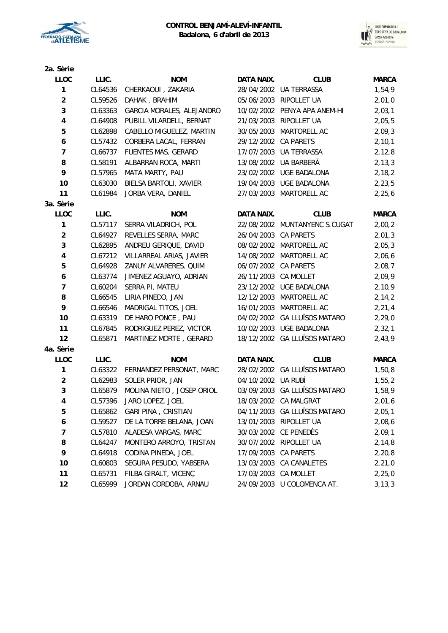



| 2a. Sèrie      |         |                           |                      |                               |              |
|----------------|---------|---------------------------|----------------------|-------------------------------|--------------|
| LLOC           | LLIC.   | <b>NOM</b>                | DATA NAIX.           | <b>CLUB</b>                   | <b>MARCA</b> |
| $\mathbf{1}$   | CL64536 | CHERKAOUI, ZAKARIA        |                      | 28/04/2002 UA TERRASSA        | 1,54,9       |
| $\overline{2}$ | CL59526 | DAHAK, BRAHIM             |                      | 05/06/2003 RIPOLLET UA        | 2,01,0       |
| 3              | CL63363 | GARCIA MORALES, ALEJANDRO |                      | 10/02/2002 PENYA APA ANEM-HI  | 2,03,1       |
| $\pmb{4}$      | CL64908 | PUBILL VILARDELL, BERNAT  |                      | 21/03/2003 RIPOLLET UA        | 2,05,5       |
| 5              | CL62898 | CABELLO MIGUELEZ, MARTIN  | 30/05/2003           | MARTORELL AC                  | 2,09,3       |
| 6              | CL57432 | CORBERA LACAL, FERRAN     | 29/12/2002 CA PARETS |                               | 2, 10, 1     |
| $\overline{7}$ | CL66737 | FUENTES MAS, GERARD       |                      | 17/07/2003 UA TERRASSA        | 2, 12, 8     |
| 8              | CL58191 | ALBARRAN ROCA, MARTI      |                      | 13/08/2002 UA BARBERÀ         | 2, 13, 3     |
| 9              | CL57965 | MATA MARTY, PAU           |                      | 23/02/2002 UGE BADALONA       | 2, 18, 2     |
| 10             | CL63030 | BIELSA BARTOLI, XAVIER    |                      | 19/04/2003 UGE BADALONA       | 2, 23, 5     |
| 11             | CL61984 | JORBA VERA, DANIEL        |                      | 27/03/2003 MARTORELL AC       | 2, 25, 6     |
| 3a. Sèrie      |         |                           |                      |                               |              |
| LLOC           | LLIC.   | <b>NOM</b>                | DATA NAIX.           | <b>CLUB</b>                   | <b>MARCA</b> |
| $\mathbf{1}$   | CL57117 | SERRA VILADRICH, POL      |                      | 22/08/2002 MUNTANYENC S.CUGAT | 2,00,2       |
| $\overline{2}$ | CL64927 | REVELLES SERRA, MARC      | 26/04/2003 CA PARETS |                               | 2,01,3       |
| $\mathbf 3$    | CL62895 | ANDREU GERIQUE, DAVID     |                      | 08/02/2002 MARTORELL AC       | 2,05,3       |
| $\pmb{4}$      | CL67212 | VILLARREAL ARIAS, JAVIER  |                      | 14/08/2002 MARTORELL AC       | 2,06,6       |
| 5              | CL64928 | ZANUY ALVARERES, QUIM     | 06/07/2002 CA PARETS |                               | 2,08,7       |
| 6              | CL63774 | JIMENEZ AGUAYO, ADRIAN    | 26/11/2003 CA MOLLET |                               | 2,09,9       |
| $\overline{7}$ | CL60204 | SERRA PI, MATEU           |                      | 23/12/2002 UGE BADALONA       | 2,10,9       |
| 8              | CL66545 | LIRIA PINEDO, JAN         |                      | 12/12/2003 MARTORELL AC       | 2,14,2       |
| 9              | CL66546 | MADRIGAL TITOS, JOEL      |                      | 16/01/2003 MARTORELL AC       | 2, 21, 4     |
| 10             | CL63319 | DE HARO PONCE, PAU        |                      | 04/02/2002 GA LLUÏSOS MATARO  | 2, 29, 0     |
| 11             | CL67845 | RODRIGUEZ PEREZ, VICTOR   |                      | 10/02/2003 UGE BADALONA       | 2, 32, 1     |
| 12             | CL65871 | MARTINEZ MORTE, GERARD    |                      | 18/12/2002 GA LLUÏSOS MATARO  | 2,43,9       |
| 4a. Sèrie      |         |                           |                      |                               |              |
| <b>LLOC</b>    | LLIC.   | <b>NOM</b>                | DATA NAIX.           | <b>CLUB</b>                   | <b>MARCA</b> |
| 1              | CL63322 | FERNANDEZ PERSONAT, MARC  |                      | 28/02/2002 GA LLUÏSOS MATARO  | 1,50,8       |
| $\overline{2}$ | CL62983 | SOLER PRIOR, JAN          | 04/10/2002 UA RUBÍ   |                               | 1,55,2       |
| 3              | CL65879 | MOLINA NIETO, JOSEP ORIOL |                      | 03/09/2003 GA LLUÏSOS MATARO  | 1,58,9       |
| 4              | CL57396 | JARO LOPEZ, JOEL          |                      | 18/03/2002 CA MALGRAT         | 2,01,6       |
| 5              | CL65862 | GARI PINA, CRISTIAN       |                      | 04/11/2003 GA LLUÏSOS MATARO  | 2,05,1       |
| 6              | CL59527 | DE LA TORRE BELANA, JOAN  |                      | 13/01/2003 RIPOLLET UA        | 2,08,6       |
| 7              | CL57810 | ALADESA VARGAS, MARC      |                      | 30/03/2002 CE PENEDÈS         | 2,09,1       |
| 8              | CL64247 | MONTERO ARROYO, TRISTAN   |                      | 30/07/2002 RIPOLLET UA        | 2,14,8       |
| 9              | CL64918 | CODINA PINEDA, JOEL       | 17/09/2003           | <b>CA PARETS</b>              | 2, 20, 8     |
| 10             | CL60803 | SEGURA PESUDO, YABSERA    | 13/03/2003           | <b>CA CANALETES</b>           | 2,21,0       |
| 11             | CL65731 | FILBA GIRALT, VICENÇ      | 17/03/2003           | CA MOLLET                     | 2,25,0       |
| 12             | CL65999 | JORDAN CORDOBA, ARNAU     |                      | 24/09/2003 U COLOMENCA AT.    | 3, 13, 3     |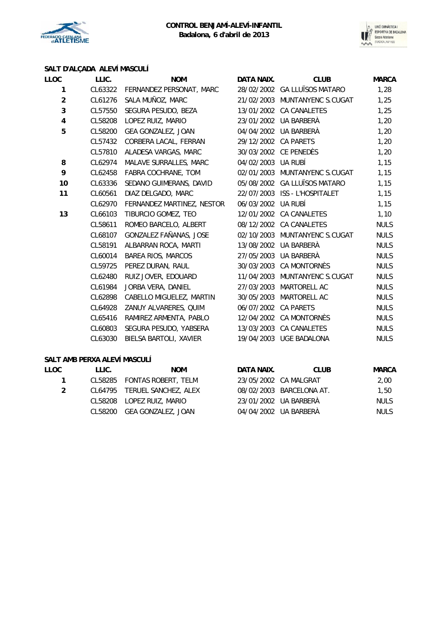



# **SALT D'ALÇADA ALEVÍ MASCULÍ**

| LLOC           | LLIC.   | <b>NOM</b>                 | DATA NAIX.         | <b>CLUB</b>                   | <b>MARCA</b> |
|----------------|---------|----------------------------|--------------------|-------------------------------|--------------|
| 1              | CL63322 | FERNANDEZ PERSONAT, MARC   |                    | 28/02/2002 GA LLUÏSOS MATARO  | 1,28         |
| $\overline{a}$ | CL61276 | SALA MUÑOZ, MARC           |                    | 21/02/2003 MUNTANYENC S.CUGAT | 1,25         |
| 3              | CL57550 | SEGURA PESUDO, BEZA        |                    | 13/01/2002 CA CANALETES       | 1,25         |
| 4              | CL58208 | LOPEZ RUIZ, MARIO          |                    | 23/01/2002 UA BARBERÀ         | 1,20         |
| 5              | CL58200 | GEA GONZALEZ, JOAN         |                    | 04/04/2002 UA BARBERA         | 1,20         |
|                | CL57432 | CORBERA LACAL, FERRAN      | 29/12/2002         | <b>CA PARETS</b>              | 1,20         |
|                | CL57810 | ALADESA VARGAS, MARC       |                    | 30/03/2002 CE PENEDÈS         | 1,20         |
| 8              | CL62974 | MALAVE SURRALLES, MARC     | 04/02/2003 UA RUBÍ |                               | 1,15         |
| 9              | CL62458 | FABRA COCHRANE, TOM        |                    | 02/01/2003 MUNTANYENC S.CUGAT | 1,15         |
| 10             | CL63336 | SEDANO GUIMERANS, DAVID    |                    | 05/08/2002 GA LLUÏSOS MATARO  | 1,15         |
| 11             | CL60561 | DIAZ DELGADO, MARC         |                    | 22/07/2003 ISS - L'HOSPITALET | 1,15         |
|                | CL62970 | FERNANDEZ MARTINEZ, NESTOR | 06/03/2002 UA RUBÍ |                               | 1,15         |
| 13             | CL66103 | TIBURCIO GOMEZ, TEO        | 12/01/2002         | CA CANALETES                  | 1,10         |
|                | CL58611 | ROMEO BARCELO, ALBERT      |                    | 08/12/2002 CA CANALETES       | <b>NULS</b>  |
|                | CL68107 | GONZALEZ FAÑANAS, JOSE     |                    | 02/10/2003 MUNTANYENC S.CUGAT | <b>NULS</b>  |
|                | CL58191 | ALBARRAN ROCA, MARTI       |                    | 13/08/2002 UA BARBERÀ         | <b>NULS</b>  |
|                | CL60014 | BAREA RIOS, MARCOS         | 27/05/2003         | UA BARBERÀ                    | <b>NULS</b>  |
|                | CL59725 | PEREZ DURAN, RAUL          | 30/03/2003         | <b>CA MONTORNÈS</b>           | <b>NULS</b>  |
|                | CL62480 | RUIZ JOVER, EDOUARD        |                    | 11/04/2003 MUNTANYENC S.CUGAT | <b>NULS</b>  |
|                | CL61984 | JORBA VERA, DANIEL         | 27/03/2003         | MARTORELL AC                  | <b>NULS</b>  |
|                | CL62898 | CABELLO MIGUELEZ, MARTIN   |                    | 30/05/2003 MARTORELL AC       | <b>NULS</b>  |
|                | CL64928 | ZANUY ALVARERES, QUIM      | 06/07/2002         | <b>CA PARETS</b>              | <b>NULS</b>  |
|                | CL65416 | RAMIREZ ARMENTA, PABLO     |                    | 12/04/2002 CA MONTORNÈS       | <b>NULS</b>  |
|                | CL60803 | SEGURA PESUDO, YABSERA     | 13/03/2003         | CA CANALETES                  | <b>NULS</b>  |
|                | CL63030 | BIELSA BARTOLI, XAVIER     | 19/04/2003         | UGE BADALONA                  | <b>NULS</b>  |
|                |         |                            |                    |                               |              |

## **SALT AMB PERXA ALEVÍ MASCULÍ**

| <b>LLOC</b> | LLIC. | <b>NOM</b>                   | DATA NAIX. | <b>CLUB</b>              | MARCA       |
|-------------|-------|------------------------------|------------|--------------------------|-------------|
| 1.          |       | CL58285 FONTAS ROBERT, TELM  |            | 23/05/2002 CA MALGRAT    | 2,00        |
| 2           |       | CL64795 TERUEL SANCHEZ, ALEX |            | 08/02/2003 BARCELONA AT. | 1,50        |
|             |       | CL58208 LOPEZ RUIZ, MARIO    |            | 23/01/2002 UA BARBERÀ    | <b>NULS</b> |
|             |       | CL58200 GEA GONZALEZ, JOAN   |            | 04/04/2002 UA BARBERÀ    | <b>NULS</b> |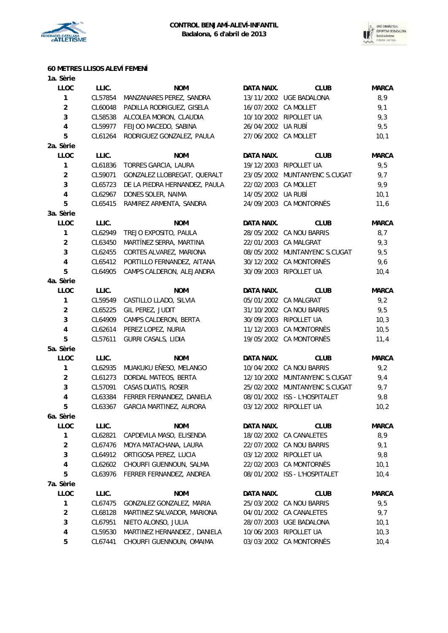

**1a. Sèrie**



## **60 METRES LLISOS ALEVÍ FEMENÍ**

| LLOC                    | LLIC.   | <b>NOM</b>                    | <b>DATA NAIX.</b>    | <b>CLUB</b>                   | <b>MARCA</b> |
|-------------------------|---------|-------------------------------|----------------------|-------------------------------|--------------|
| 1                       | CL57854 | MANZANARES PEREZ, SANDRA      |                      | 13/11/2002 UGE BADALONA       | 8,9          |
| $\overline{c}$          | CL60048 | PADILLA RODRIGUEZ, GISELA     | 16/07/2002 CA MOLLET |                               | 9,1          |
| 3                       | CL58538 | ALCOLEA MORON, CLAUDIA        |                      | 10/10/2002 RIPOLLET UA        | 9,3          |
| 4                       | CL59977 | FEIJOO MACEDO, SABINA         | 26/04/2002 UA RUBÍ   |                               | 9,5          |
| 5                       | CL61264 | RODRIGUEZ GONZALEZ, PAULA     | 27/06/2002 CA MOLLET |                               | 10,1         |
| 2a. Sèrie               |         |                               |                      |                               |              |
| LLOC                    | LLIC.   | <b>NOM</b>                    | DATA NAIX.           | <b>CLUB</b>                   | <b>MARCA</b> |
| 1                       | CL61836 | TORRES GARCIA, LAURA          |                      | 19/12/2003 RIPOLLET UA        | 9,5          |
| $\overline{c}$          | CL59071 | GONZALEZ LLOBREGAT, QUERALT   |                      | 23/05/2002 MUNTANYENC S.CUGAT | 9,7          |
| 3                       | CL65723 | DE LA PIEDRA HERNANDEZ, PAULA | 22/02/2003 CA MOLLET |                               | 9,9          |
| $\pmb{4}$               | CL62967 | DONES SOLER, NAIMA            | 14/05/2002 UA RUBÍ   |                               | 10,1         |
| 5                       | CL65415 | RAMIREZ ARMENTA, SANDRA       |                      | 24/09/2003 CA MONTORNÈS       | 11,6         |
| 3a. Sèrie               |         |                               |                      |                               |              |
| LLOC                    | LLIC.   | <b>NOM</b>                    | DATA NAIX.           | <b>CLUB</b>                   | <b>MARCA</b> |
| 1                       | CL62949 | TREJO EXPOSITO, PAULA         |                      | 28/05/2002 CA NOU BARRIS      | 8,7          |
| $\overline{2}$          | CL63450 | MARTÍNEZ SERRA, MARTINA       |                      | 22/01/2003 CA MALGRAT         | 9,3          |
| 3                       | CL62455 | CORTES ALVAREZ, MARIONA       |                      | 08/05/2002 MUNTANYENC S.CUGAT | 9,5          |
| 4                       | CL65412 | PORTILLO FERNANDEZ, AITANA    |                      | 30/12/2002 CA MONTORNÈS       | 9,6          |
| 5                       | CL64905 | CAMPS CALDERON, ALEJANDRA     |                      | 30/09/2003 RIPOLLET UA        | 10,4         |
| 4a. Sèrie               |         |                               |                      |                               |              |
| LLOC                    | LLIC.   | <b>NOM</b>                    | DATA NAIX.           | <b>CLUB</b>                   | <b>MARCA</b> |
| 1                       | CL59549 | CASTILLO LLADO, SILVIA        |                      | 05/01/2002 CA MALGRAT         | 9,2          |
| $\overline{\mathbf{c}}$ | CL65225 | GIL PEREZ, JUDIT              |                      | 31/10/2002 CA NOU BARRIS      | 9,5          |
| 3                       | CL64909 | CAMPS CALDERON, BERTA         |                      | 30/09/2003 RIPOLLET UA        | 10,3         |
| 4                       | CL62614 | PEREZ LOPEZ, NURIA            |                      | 11/12/2003 CA MONTORNÈS       | 10, 5        |
| 5                       | CL57611 | GURRI CASALS, LIDIA           |                      | 19/05/2002 CA MONTORNÈS       |              |
|                         |         |                               |                      |                               | 11,4         |
| 5a. Sèrie<br>LLOC       | LLIC.   |                               |                      |                               |              |
|                         |         | <b>NOM</b>                    | DATA NAIX.           | <b>CLUB</b>                   | <b>MARCA</b> |
| 1                       | CL62935 | MUAKUKU EÑESO, MELANGO        |                      | 10/04/2002 CA NOU BARRIS      | 9,2          |
| $\overline{2}$          | CL61273 | DORDAL MATEOS, BERTA          |                      | 12/10/2002 MUNTANYENC S.CUGAT | 9,4          |
| 3                       | CL57091 | CASAS DUATIS, ROSER           |                      | 25/02/2002 MUNTANYENC S.CUGAT | 9,7          |
| 4                       | CL63384 | FERRER FERNANDEZ, DANIELA     |                      | 08/01/2002 ISS - L'HOSPITALET | 9,8          |
| 5                       | CL63367 | GARCIA MARTINEZ, AURORA       |                      | 03/12/2002 RIPOLLET UA        | 10,2         |
| 6a. Sèrie               |         |                               |                      |                               |              |
| LLOC                    | LLIC.   | <b>NOM</b>                    | DATA NAIX.           | <b>CLUB</b>                   | <b>MARCA</b> |
| 1                       | CL62821 | CAPDEVILA MASO, ELISENDA      |                      | 18/02/2002 CA CANALETES       | 8,9          |
| $\overline{\mathbf{c}}$ | CL67476 | MOYA MATACHANA, LAURA         |                      | 22/07/2002 CA NOU BARRIS      | 9,1          |
| 3                       | CL64912 | ORTIGOSA PEREZ, LUCIA         |                      | 03/12/2002 RIPOLLET UA        | 9,8          |
| 4                       | CL62602 | CHOURFI GUENNOUN, SALMA       |                      | 22/02/2003 CA MONTORNÈS       | 10,1         |
| 5                       | CL63976 | FERRER FERNANDEZ, ANDREA      |                      | 08/01/2002 ISS - L'HOSPITALET | 10,4         |
| 7a. Sèrie               |         |                               |                      |                               |              |
| LLOC                    | LLIC.   | <b>NOM</b>                    | DATA NAIX.           | <b>CLUB</b>                   | <b>MARCA</b> |
| 1                       | CL67475 | GONZALEZ GONZALEZ, MARIA      |                      | 25/03/2002 CA NOU BARRIS      | 9,5          |
| $\mathbf{2}$            | CL68128 | MARTINEZ SALVADOR, MARIONA    |                      | 04/01/2002 CA CANALETES       | 9,7          |
| 3                       | CL67951 | NIETO ALONSO, JULIA           |                      | 28/07/2003 UGE BADALONA       | 10,1         |
| 4                       | CL59530 | MARTINEZ HERNANDEZ, DANIELA   |                      | 10/06/2003 RIPOLLET UA        | 10,3         |
| 5                       | CL67441 | CHOURFI GUENNOUN, OMAIMA      |                      | 03/03/2002 CA MONTORNÈS       | 10,4         |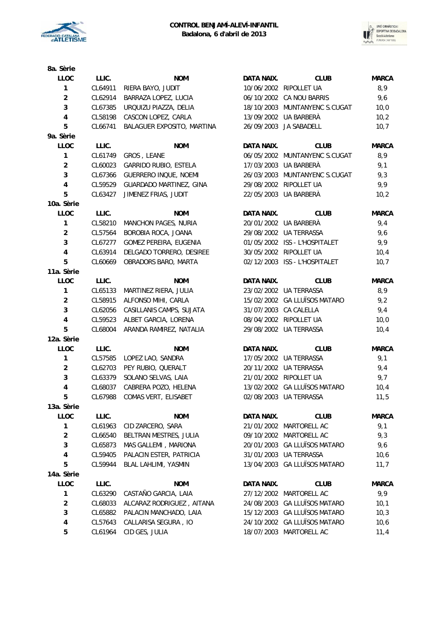



| 8a. Sèrie               |         |                            |            |                               |              |
|-------------------------|---------|----------------------------|------------|-------------------------------|--------------|
| <b>LLOC</b>             | LLIC.   | <b>NOM</b>                 | DATA NAIX. | <b>CLUB</b>                   | <b>MARCA</b> |
| $\mathbf{1}$            | CL64911 | RIERA BAYO, JUDIT          |            | 10/06/2002 RIPOLLET UA        | 8,9          |
| $\overline{\mathbf{c}}$ | CL62914 | BARRAZA LOPEZ, LUCIA       |            | 06/10/2002 CA NOU BARRIS      | 9,6          |
| 3                       | CL67385 | URQUIZU PIAZZA, DELIA      |            | 18/10/2003 MUNTANYENC S.CUGAT | 10,0         |
| 4                       | CL58198 | CASCON LOPEZ, CARLA        |            | 13/09/2002 UA BARBERÀ         | 10,2         |
| 5                       | CL66741 | BALAGUER EXPOSITO, MARTINA |            | 26/09/2003 JA SABADELL        | 10,7         |
| 9a. Sèrie               |         |                            |            |                               |              |
| <b>LLOC</b>             | LLIC.   | <b>NOM</b>                 | DATA NAIX. | <b>CLUB</b>                   | <b>MARCA</b> |
| $\mathbf{1}$            | CL61749 | GROS, LEANE                |            | 06/05/2002 MUNTANYENC S.CUGAT | 8,9          |
| $\overline{\mathbf{c}}$ | CL60023 | GARRIDO RUBIO, ESTELA      |            | 17/03/2003 UA BARBERÀ         | 9,1          |
| 3                       | CL67366 | GUERRERO INQUE, NOEMI      |            | 26/03/2003 MUNTANYENC S.CUGAT | 9,3          |
| $\overline{\mathbf{4}}$ | CL59529 | GUARDADO MARTINEZ, GINA    |            | 29/08/2002 RIPOLLET UA        | 9,9          |
| 5                       | CL63427 | JIMENEZ FRIAS, JUDIT       |            | 22/05/2003 UA BARBERÀ         | 10,2         |
| 10a. Sèrie              |         |                            |            |                               |              |
| <b>LLOC</b>             | LLIC.   | <b>NOM</b>                 | DATA NAIX. | <b>CLUB</b>                   | <b>MARCA</b> |
| $\mathbf{1}$            | CL58210 | MANCHON PAGES, NURIA       |            | 20/01/2002 UA BARBERÀ         | 9,4          |
| $\overline{\mathbf{c}}$ | CL57564 | BOROBIA ROCA, JOANA        |            | 29/08/2002 UA TERRASSA        | 9,6          |
| 3                       | CL67277 | GOMEZ PEREIRA, EUGENIA     |            | 01/05/2002 ISS - L'HOSPITALET | 9,9          |
| $\overline{\mathbf{4}}$ | CL63914 | DELGADO TORRERO, DESIREE   |            | 30/05/2002 RIPOLLET UA        | 10,4         |
| 5                       | CL60669 | OBRADORS BARO, MARTA       |            | 02/12/2003 ISS - L'HOSPITALET | 10,7         |
| 11a. Sèrie              |         |                            |            |                               |              |
| <b>LLOC</b>             | LLIC.   | <b>NOM</b>                 | DATA NAIX. | <b>CLUB</b>                   | <b>MARCA</b> |
| $\mathbf{1}$            | CL65133 | MARTINEZ RIERA, JULIA      |            | 23/02/2002 UA TERRASSA        | 8,9          |
| $\overline{\mathbf{c}}$ | CL58915 | ALFONSO MIHI, CARLA        |            | 15/02/2002 GA LLUÏSOS MATARO  | 9,2          |
| 3                       | CL62056 | CASILLANIS CAMPS, SUJATA   |            | 31/07/2003 CA CALELLA         | 9,4          |
| $\overline{\mathbf{4}}$ | CL59523 | ALBET GARCIA, LORENA       |            | 08/04/2002 RIPOLLET UA        | 10,0         |
| 5                       | CL68004 | ARANDA RAMIREZ, NATALIA    |            | 29/08/2002 UA TERRASSA        | 10,4         |
| 12a. Sèrie              |         |                            |            |                               |              |
| <b>LLOC</b>             | LLIC.   | <b>NOM</b>                 | DATA NAIX. | <b>CLUB</b>                   | <b>MARCA</b> |
| 1                       | CL57585 | LOPEZ LAO, SANDRA          |            | 17/05/2002 UA TERRASSA        | 9,1          |
| $\overline{\mathbf{c}}$ | CL62703 | PEY RUBIO, QUERALT         |            | 20/11/2002 UA TERRASSA        | 9,4          |
| 3                       | CL63379 | SOLANO SELVAS, LAIA        |            | 21/01/2002 RIPOLLET UA        | 9,7          |
| $\overline{\mathbf{4}}$ | CL68037 | CABRERA POZO, HELENA       |            | 13/02/2002 GA LLUÏSOS MATARO  | 10,4         |
| 5                       | CL67988 | COMAS VERT, ELISABET       |            | 02/08/2003 UA TERRASSA        | 11,5         |
| 13a. Sèrie              |         |                            |            |                               |              |
| <b>LLOC</b>             | LLIC.   | <b>NOM</b>                 | DATA NAIX. | <b>CLUB</b>                   | <b>MARCA</b> |
| 1                       | CL61963 | CID ZARCERO, SARA          |            | 21/01/2002 MARTORELL AC       | 9,1          |
| $\overline{\mathbf{c}}$ | CL66540 | BELTRAN MESTRES, JULIA     |            | 09/10/2002 MARTORELL AC       | 9,3          |
| 3                       | CL65873 | MAS GALLEMI, MARIONA       |            | 20/01/2003 GA LLUÏSOS MATARO  | 9,6          |
| 4                       | CL59405 | PALACIN ESTER, PATRICIA    |            | 31/01/2003 UA TERRASSA        | 10,6         |
| 5                       | CL59944 | BLAL LAHLIMI, YASMIN       |            | 13/04/2003 GA LLUÏSOS MATARO  | 11,7         |
| 14a. Sèrie              |         |                            |            |                               |              |
| <b>LLOC</b>             | LLIC.   | <b>NOM</b>                 | DATA NAIX. | <b>CLUB</b>                   | <b>MARCA</b> |
| 1                       | CL63290 | CASTAÑO GARCIA, LAIA       | 27/12/2002 | MARTORELL AC                  | 9,9          |
| $\overline{\mathbf{c}}$ | CL68033 | ALCARAZ RODRIGUEZ, AITANA  |            | 24/08/2003 GA LLUÏSOS MATARO  | 10,1         |
| 3                       | CL65882 | PALACIN MANCHADO, LAIA     |            | 15/12/2003 GA LLUÏSOS MATARO  | 10,3         |
| 4                       | CL57643 | CALLARISA SEGURA, IO       |            | 24/10/2002 GA LLUÏSOS MATARO  | 10,6         |
| 5                       | CL61964 | CID GES, JULIA             |            | 18/07/2003 MARTORELL AC       | 11,4         |
|                         |         |                            |            |                               |              |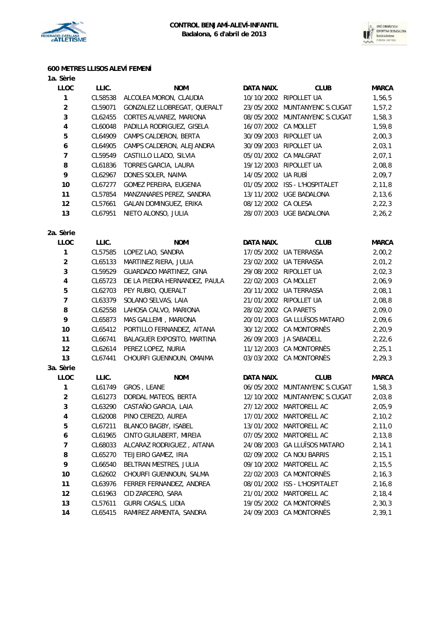



## **600 METRES LLISOS ALEVÍ FEMENÍ**

| 1a. Sèrie        |         |                               |                      |                               |              |
|------------------|---------|-------------------------------|----------------------|-------------------------------|--------------|
| <b>LLOC</b>      | LLIC.   | <b>NOM</b>                    | DATA NAIX.           | <b>CLUB</b>                   | <b>MARCA</b> |
| $\mathbf{1}$     | CL58538 | ALCOLEA MORON, CLAUDIA        |                      | 10/10/2002 RIPOLLET UA        | 1,56,5       |
| $\boldsymbol{2}$ | CL59071 | GONZALEZ LLOBREGAT, QUERALT   |                      | 23/05/2002 MUNTANYENC S.CUGAT | 1,57,2       |
| 3                | CL62455 | CORTES ALVAREZ, MARIONA       |                      | 08/05/2002 MUNTANYENC S.CUGAT | 1,58,3       |
| $\pmb{4}$        | CL60048 | PADILLA RODRIGUEZ, GISELA     | 16/07/2002 CA MOLLET |                               | 1,59,8       |
| 5                | CL64909 | CAMPS CALDERON, BERTA         |                      | 30/09/2003 RIPOLLET UA        | 2,00,3       |
| 6                | CL64905 | CAMPS CALDERON, ALEJANDRA     |                      | 30/09/2003 RIPOLLET UA        | 2,03,1       |
| $\overline{7}$   | CL59549 | CASTILLO LLADO, SILVIA        |                      | 05/01/2002 CA MALGRAT         | 2,07,1       |
| 8                | CL61836 | TORRES GARCIA, LAURA          |                      | 19/12/2003 RIPOLLET UA        | 2,08,8       |
| 9                | CL62967 | DONES SOLER, NAIMA            | 14/05/2002 UA RUBÍ   |                               | 2,09,7       |
| $10\,$           | CL67277 | GOMEZ PEREIRA, EUGENIA        |                      | 01/05/2002 ISS - L'HOSPITALET | 2, 11, 8     |
| 11               | CL57854 | MANZANARES PEREZ, SANDRA      |                      | 13/11/2002 UGE BADALONA       | 2, 13, 6     |
| 12               | CL57661 | GALAN DOMINGUEZ, ERIKA        | 08/12/2002 CA OLESA  |                               | 2, 22, 3     |
| 13               | CL67951 | NIETO ALONSO, JULIA           |                      | 28/07/2003 UGE BADALONA       | 2,26,2       |
| 2a. Sèrie        |         |                               |                      |                               |              |
| LLOC             | LLIC.   | <b>NOM</b>                    | DATA NAIX.           | <b>CLUB</b>                   | <b>MARCA</b> |
| $\mathbf{1}$     | CL57585 | LOPEZ LAO, SANDRA             |                      | 17/05/2002 UA TERRASSA        | 2,00,2       |
| $\overline{c}$   | CL65133 | MARTINEZ RIERA, JULIA         |                      | 23/02/2002 UA TERRASSA        | 2,01,2       |
| $\mathsf 3$      | CL59529 | GUARDADO MARTINEZ, GINA       |                      | 29/08/2002 RIPOLLET UA        | 2,02,3       |
| $\pmb{4}$        | CL65723 | DE LA PIEDRA HERNANDEZ, PAULA | 22/02/2003 CA MOLLET |                               | 2,06,9       |
| 5                | CL62703 | PEY RUBIO, QUERALT            |                      | 20/11/2002 UA TERRASSA        | 2,08,1       |
| $\overline{7}$   | CL63379 | SOLANO SELVAS, LAIA           |                      | 21/01/2002 RIPOLLET UA        | 2,08,8       |
| 8                | CL62558 | LAHOSA CALVO, MARIONA         | 28/02/2002 CA PARETS |                               | 2,09,0       |
| 9                | CL65873 | MAS GALLEMI, MARIONA          |                      | 20/01/2003 GA LLUÏSOS MATARO  | 2,09,6       |
| $10\,$           | CL65412 | PORTILLO FERNANDEZ, AITANA    |                      | 30/12/2002 CA MONTORNÈS       | 2,20,9       |
| 11               | CL66741 | BALAGUER EXPOSITO, MARTINA    |                      | 26/09/2003 JA SABADELL        | 2,22,6       |
| 12               | CL62614 | PEREZ LOPEZ, NURIA            |                      | 11/12/2003 CA MONTORNÈS       | 2, 25, 1     |
| 13               | CL67441 | CHOURFI GUENNOUN, OMAIMA      |                      | 03/03/2002 CA MONTORNÈS       | 2, 29, 3     |
| 3a. Sèrie        |         |                               |                      |                               |              |
| LLOC             | LLIC.   | <b>NOM</b>                    | DATA NAIX.           | <b>CLUB</b>                   | <b>MARCA</b> |
| $\mathbf{1}$     |         | CL61749 GROS, LEANE           |                      | 06/05/2002 MUNTANYENC S.CUGAT | 1,58,3       |
| $\boldsymbol{2}$ | CL61273 | DORDAL MATEOS, BERTA          |                      | 12/10/2002 MUNTANYENC S.CUGAT | 2,03,8       |
| 3                | CL63290 | CASTAÑO GARCIA, LAIA          |                      | 27/12/2002 MARTORELL AC       | 2,05,9       |
| 4                | CL62008 | PINO CEREZO, AUREA            |                      | 17/01/2002 MARTORELL AC       | 2,10,2       |
| 5                | CL67211 | BLANCO BAGBY, ISABEL          | 13/01/2002           | MARTORELL AC                  | 2,11,0       |
| 6                | CL61965 | CINTO GUILABERT, MIREIA       |                      | 07/05/2002 MARTORELL AC       | 2,13,8       |
| $\boldsymbol{7}$ | CL68033 | ALCARAZ RODRIGUEZ, AITANA     | 24/08/2003           | <b>GA LLUÏSOS MATARO</b>      | 2, 14, 1     |
| 8                | CL65270 | TEIJEIRO GAMEZ, IRIA          |                      | 02/09/2002 CA NOU BARRIS      | 2, 15, 1     |
| 9                | CL66540 | BELTRAN MESTRES, JULIA        |                      | 09/10/2002 MARTORELL AC       | 2,15,5       |
| 10               | CL62602 | CHOURFI GUENNOUN, SALMA       | 22/02/2003           | CA MONTORNÈS                  | 2, 16, 3     |
| 11               | CL63976 | FERRER FERNANDEZ, ANDREA      |                      | 08/01/2002 ISS - L'HOSPITALET | 2,16,8       |
| 12               | CL61963 | CID ZARCERO, SARA             | 21/01/2002           | MARTORELL AC                  | 2, 18, 4     |
| 13               | CL57611 | GURRI CASALS, LIDIA           | 19/05/2002           | CA MONTORNÈS                  | 2,30,3       |
| 14               | CL65415 | RAMIREZ ARMENTA, SANDRA       |                      | 24/09/2003 CA MONTORNÈS       | 2, 39, 1     |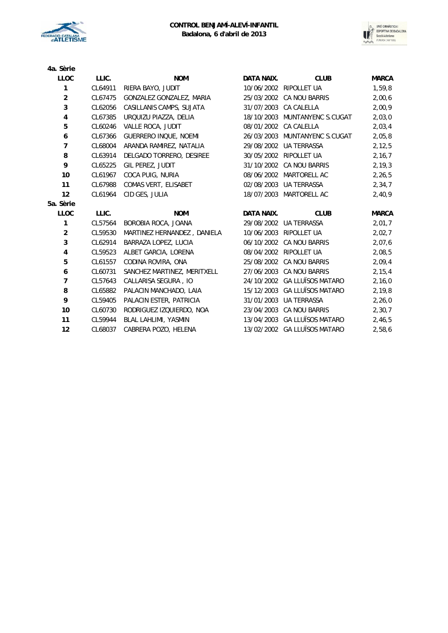



| 4a. Sèrie      |         |                             |            |                               |              |
|----------------|---------|-----------------------------|------------|-------------------------------|--------------|
| <b>LLOC</b>    | LLIC.   | <b>NOM</b>                  | DATA NAIX. | <b>CLUB</b>                   | <b>MARCA</b> |
| 1              | CL64911 | RIERA BAYO, JUDIT           |            | 10/06/2002 RIPOLLET UA        | 1,59,8       |
| $\overline{2}$ | CL67475 | GONZALEZ GONZALEZ, MARIA    |            | 25/03/2002 CA NOU BARRIS      | 2,00,6       |
| 3              | CL62056 | CASILLANIS CAMPS, SUJATA    |            | 31/07/2003 CA CALELLA         | 2,00,9       |
| 4              | CL67385 | URQUIZU PIAZZA, DELIA       | 18/10/2003 | MUNTANYENC S.CUGAT            | 2,03,0       |
| 5              | CL60246 | VALLE ROCA, JUDIT           |            | 08/01/2002 CA CALELLA         | 2,03,4       |
| 6              | CL67366 | GUERRERO INQUE, NOEMI       |            | 26/03/2003 MUNTANYENC S.CUGAT | 2,05,8       |
| 7              | CL68004 | ARANDA RAMIREZ, NATALIA     |            | 29/08/2002 UA TERRASSA        | 2, 12, 5     |
| 8              | CL63914 | DELGADO TORRERO, DESIREE    |            | 30/05/2002 RIPOLLET UA        | 2,16,7       |
| 9              | CL65225 | GIL PEREZ, JUDIT            |            | 31/10/2002 CA NOU BARRIS      | 2, 19, 3     |
| 10             | CL61967 | COCA PUIG, NURIA            | 08/06/2002 | MARTORELL AC                  | 2, 26, 5     |
| 11             | CL67988 | COMAS VERT, ELISABET        |            | 02/08/2003 UA TERRASSA        | 2,34,7       |
| 12             | CL61964 | CID GES, JULIA              |            | 18/07/2003 MARTORELL AC       | 2,40,9       |
| 5a. Sèrie      |         |                             |            |                               |              |
| <b>LLOC</b>    | LLIC.   | <b>NOM</b>                  | DATA NAIX. | <b>CLUB</b>                   | <b>MARCA</b> |
| 1              | CL57564 | BOROBIA ROCA, JOANA         |            | 29/08/2002 UA TERRASSA        | 2,01,7       |
| $\overline{a}$ | CL59530 | MARTINEZ HERNANDEZ, DANIELA | 10/06/2003 | RIPOLLET UA                   | 2,02,7       |
| 3              | CL62914 | BARRAZA LOPEZ, LUCIA        |            | 06/10/2002 CA NOU BARRIS      | 2,07,6       |
| 4              | CL59523 | ALBET GARCIA, LORENA        |            | 08/04/2002 RIPOLLET UA        | 2,08,5       |
| 5              | CL61557 | CODINA ROVIRA, ONA          | 25/08/2002 | CA NOU BARRIS                 | 2,09,4       |
| 6              | CL60731 | SANCHEZ MARTINEZ, MERITXELL |            | 27/06/2003 CA NOU BARRIS      | 2, 15, 4     |
| $\overline{7}$ | CL57643 | CALLARISA SEGURA, IO        |            | 24/10/2002 GA LLUÏSOS MATARO  | 2,16,0       |
| 8              | CL65882 | PALACIN MANCHADO, LAIA      |            | 15/12/2003 GA LLUÏSOS MATARO  | 2, 19, 8     |
| 9              | CL59405 | PALACIN ESTER, PATRICIA     |            | 31/01/2003 UA TERRASSA        | 2,26,0       |
| 10             | CL60730 | RODRIGUEZ IZQUIERDO, NOA    |            | 23/04/2003 CA NOU BARRIS      | 2,30,7       |
| 11             | CL59944 | BLAL LAHLIMI, YASMIN        | 13/04/2003 | <b>GA LLUÏSOS MATARO</b>      | 2,46,5       |
| 12             | CL68037 | CABRERA POZO, HELENA        |            | 13/02/2002 GA LLUÏSOS MATARO  | 2,58,6       |
|                |         |                             |            |                               |              |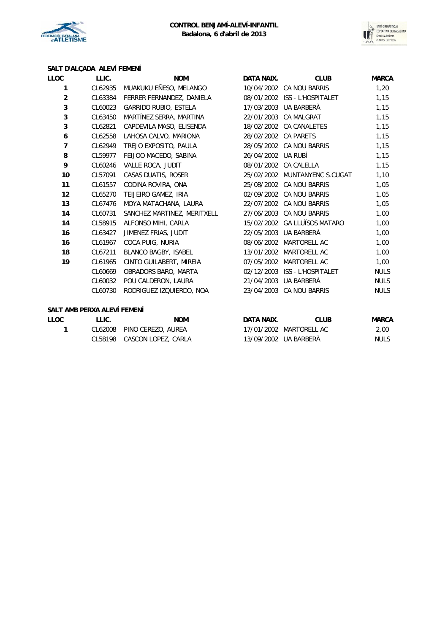



# **SALT D'ALÇADA ALEVÍ FEMENÍ**

| LLOC           | LLIC.   | <b>NOM</b>                   | DATA NAIX. | <b>CLUB</b>                   | <b>MARCA</b> |
|----------------|---------|------------------------------|------------|-------------------------------|--------------|
| 1              | CL62935 | MUAKUKU EÑESO, MELANGO       | 10/04/2002 | <b>CA NOU BARRIS</b>          | 1,20         |
| $\overline{2}$ | CL63384 | FERRER FERNANDEZ, DANIELA    |            | 08/01/2002 ISS - L'HOSPITALET | 1,15         |
| 3              | CL60023 | <b>GARRIDO RUBIO, ESTELA</b> | 17/03/2003 | UA BARBERÀ                    | 1,15         |
| 3              | CL63450 | MARTÍNEZ SERRA, MARTINA      | 22/01/2003 | <b>CA MALGRAT</b>             | 1,15         |
| 3              | CL62821 | CAPDEVILA MASO, ELISENDA     | 18/02/2002 | <b>CA CANALETES</b>           | 1,15         |
| 6              | CL62558 | LAHOSA CALVO, MARIONA        | 28/02/2002 | <b>CA PARETS</b>              | 1,15         |
| $\overline{7}$ | CL62949 | TREJO EXPOSITO, PAULA        | 28/05/2002 | <b>CA NOU BARRIS</b>          | 1,15         |
| 8              | CL59977 | FEIJOO MACEDO, SABINA        | 26/04/2002 | UA RUBÍ                       | 1,15         |
| 9              | CL60246 | <b>VALLE ROCA, JUDIT</b>     |            | 08/01/2002 CA CALELLA         | 1,15         |
| 10             | CL57091 | CASAS DUATIS, ROSER          | 25/02/2002 | MUNTANYENC S.CUGAT            | 1,10         |
| 11             | CL61557 | CODINA ROVIRA, ONA           | 25/08/2002 | <b>CA NOU BARRIS</b>          | 1,05         |
| 12             | CL65270 | TEIJEIRO GAMEZ, IRIA         | 02/09/2002 | <b>CA NOU BARRIS</b>          | 1,05         |
| 13             | CL67476 | MOYA MATACHANA, LAURA        | 22/07/2002 | <b>CA NOU BARRIS</b>          | 1,05         |
| 14             | CL60731 | SANCHEZ MARTINEZ, MERITXELL  | 27/06/2003 | <b>CA NOU BARRIS</b>          | 1,00         |
| 14             | CL58915 | ALFONSO MIHI, CARLA          | 15/02/2002 | <b>GA LLUÏSOS MATARO</b>      | 1,00         |
| 16             | CL63427 | JIMENEZ FRIAS, JUDIT         | 22/05/2003 | UA BARBERÀ                    | 1,00         |
| 16             | CL61967 | COCA PUIG, NURIA             | 08/06/2002 | MARTORELL AC                  | 1,00         |
| 18             | CL67211 | BLANCO BAGBY, ISABEL         | 13/01/2002 | MARTORELL AC                  | 1,00         |
| 19             | CL61965 | CINTO GUILABERT, MIREIA      | 07/05/2002 | MARTORELL AC                  | 1,00         |
|                | CL60669 | OBRADORS BARO, MARTA         | 02/12/2003 | <b>ISS - L'HOSPITALET</b>     | <b>NULS</b>  |
|                | CL60032 | POU CALDERON, LAURA          | 21/04/2003 | UA BARBERÀ                    | <b>NULS</b>  |
|                | CL60730 | RODRIGUEZ IZQUIERDO, NOA     | 23/04/2003 | <b>CA NOU BARRIS</b>          | <b>NULS</b>  |
|                |         |                              |            |                               |              |

### **SALT AMB PERXA ALEVÍ FEMENÍ**

| LLOC | LLIC. | <b>NOM</b>                  | DATA NAIX. | <b>CLUB</b>             | <b>MARCA</b> |
|------|-------|-----------------------------|------------|-------------------------|--------------|
|      |       | CL62008 PINO CEREZO, AUREA  |            | 17/01/2002 MARTORELL AC | 2.00         |
|      |       | CL58198 CASCON LOPEZ, CARLA |            | 13/09/2002 UA BARBERÀ   | NULS         |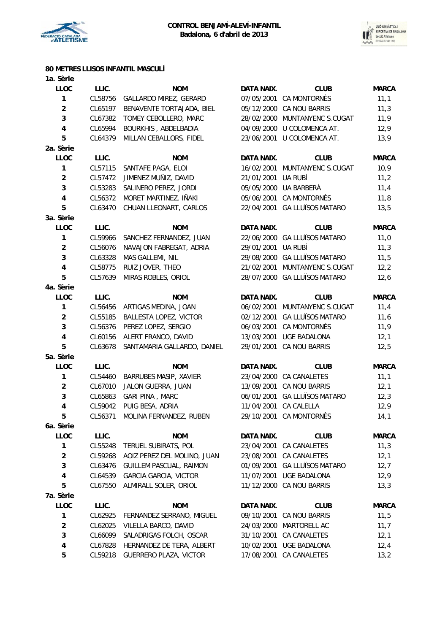

**1a. Sèrie**



## **80 METRES LLISOS INFANTIL MASCULÍ**

| <b>LLOC</b>             | LLIC.   | <b>NOM</b>                     | DATA NAIX.        | <b>CLUB</b>                   | <b>MARCA</b> |
|-------------------------|---------|--------------------------------|-------------------|-------------------------------|--------------|
| 1                       | CL58756 | GALLARDO MIREZ, GERARD         |                   | 07/05/2001 CA MONTORNÈS       | 11,1         |
| $\overline{c}$          | CL65197 | BENAVENTE TORTAJADA, BIEL      |                   | 05/12/2000 CA NOU BARRIS      | 11,3         |
| $\mathsf 3$             | CL67382 | TOMEY CEBOLLERO, MARC          |                   | 28/02/2000 MUNTANYENC S.CUGAT | 11,9         |
| $\overline{\mathbf{4}}$ | CL65994 | BOURKHIS, ABDELBADIA           |                   | 04/09/2000 U COLOMENCA AT.    | 12,9         |
| 5                       | CL64379 | MILLAN CEBALLORS, FIDEL        | 23/06/2001        | U COLOMENCA AT.               | 13,9         |
| 2a. Sèrie               |         |                                |                   |                               |              |
| LLOC                    | LLIC.   | <b>NOM</b>                     | <b>DATA NAIX.</b> | <b>CLUB</b>                   | <b>MARCA</b> |
| $\mathbf{1}$            | CL57115 | SANTAFE PAGA, ELOI             | 16/02/2001        | MUNTANYENC S.CUGAT            | 10,9         |
| $\overline{a}$          | CL57472 | JIMENEZ MUÑIZ, DAVID           | 21/01/2001        | UA RUBÍ                       | 11,2         |
| $\mathbf{3}$            | CL53283 | SALINERO PEREZ, JORDI          |                   | 05/05/2000 UA BARBERÀ         | 11,4         |
| $\pmb{4}$               | CL56372 | MORET MARTINEZ, IÑAKI          |                   | 05/06/2001 CA MONTORNÈS       | 11,8         |
| 5                       | CL63470 | CHUAN LLEONART, CARLOS         |                   | 22/04/2001 GA LLUÏSOS MATARO  | 13,5         |
| 3a. Sèrie               |         |                                |                   |                               |              |
| LLOC                    | LLIC.   | <b>NOM</b>                     | DATA NAIX.        | <b>CLUB</b>                   | <b>MARCA</b> |
| 1                       | CL59966 | SANCHEZ FERNANDEZ, JUAN        |                   | 22/06/2000 GA LLUÏSOS MATARO  | 11,0         |
| $\overline{2}$          | CL56076 | NAVAJON FABREGAT, ADRIA        | 29/01/2001        | UA RUBÍ                       | 11,3         |
|                         |         |                                |                   |                               |              |
| 3                       | CL63328 | MAS GALLEMI, NIL               |                   | 29/08/2000 GA LLUÏSOS MATARO  | 11,5         |
| $\overline{\mathbf{4}}$ | CL58775 | RUIZ JOVER, THEO               | 21/02/2001        | MUNTANYENC S.CUGAT            | 12,2         |
| 5                       | CL57639 | MIRAS ROBLES, ORIOL            | 28/07/2000        | <b>GA LLUÏSOS MATARO</b>      | 12,6         |
| 4a. Sèrie               |         |                                |                   |                               |              |
| LLOC                    | LLIC.   | <b>NOM</b>                     | DATA NAIX.        | <b>CLUB</b>                   | <b>MARCA</b> |
| 1                       | CL56456 | ARTIGAS MEDINA, JOAN           |                   | 06/02/2001 MUNTANYENC S.CUGAT | 11,4         |
| $\overline{a}$          | CL55185 | BALLESTA LOPEZ, VICTOR         |                   | 02/12/2001 GA LLUÏSOS MATARO  | 11,6         |
| $\mathbf{3}$            | CL56376 | PEREZ LOPEZ, SERGIO            |                   | 06/03/2001 CA MONTORNÈS       | 11,9         |
| $\pmb{4}$               | CL60156 | ALERT FRANCO, DAVID            | 13/03/2001        | <b>UGE BADALONA</b>           | 12,1         |
| 5                       | CL63678 | SANTAMARIA GALLARDO, DANIEL    | 29/01/2001        | CA NOU BARRIS                 | 12,5         |
| 5a. Sèrie               |         |                                |                   |                               |              |
| LLOC                    | LLIC.   | <b>NOM</b>                     | DATA NAIX.        | <b>CLUB</b>                   | <b>MARCA</b> |
| 1                       | CL54460 | BARRUBES MASIP, XAVIER         |                   | 23/04/2000 CA CANALETES       | 11,1         |
| $\overline{2}$          | CL67010 | JALON GUERRA, JUAN             |                   | 13/09/2001 CA NOU BARRIS      | 12,1         |
| 3                       | CL65863 | <b>GARI PINA, MARC</b>         | 06/01/2001        | <b>GA LLUÏSOS MATARO</b>      | 12,3         |
| $\pmb{4}$               | CL59042 | PUIG BESA, ADRIA               |                   | 11/04/2001 CA CALELLA         | 12,9         |
| 5                       | CL56371 | MOLINA FERNANDEZ, RUBEN        |                   | 29/10/2001 CA MONTORNÈS       | 14,1         |
| 6a. Sèrie               |         |                                |                   |                               |              |
| LLOC                    | LLIC.   | <b>NOM</b>                     | DATA NAIX.        | <b>CLUB</b>                   | <b>MARCA</b> |
| 1                       | CL55248 | TERUEL SUBIRATS, POL           | 23/04/2001        | CA CANALETES                  | 11,3         |
| $\overline{\mathbf{c}}$ | CL59268 | AOIZ PEREZ DEL MOLINO, JUAN    |                   | 23/08/2001 CA CANALETES       | 12,1         |
| 3                       | CL63476 | <b>GUILLEM PASCUAL, RAIMON</b> |                   | 01/09/2001 GA LLUÏSOS MATARO  | 12,7         |
| 4                       | CL64539 | <b>GARCIA GARCIA, VICTOR</b>   | 11/07/2001        | <b>UGE BADALONA</b>           | 12,9         |
| 5                       | CL67550 | ALMIRALL SOLER, ORIOL          | 11/12/2000        | CA NOU BARRIS                 | 13,3         |
| 7a. Sèrie               |         |                                |                   |                               |              |
| LLOC                    | LLIC.   | <b>NOM</b>                     | DATA NAIX.        | <b>CLUB</b>                   | <b>MARCA</b> |
| $\mathbf{1}$            | CL62925 | FERNANDEZ SERRANO, MIGUEL      | 09/10/2001        | CA NOU BARRIS                 | 11,5         |
| $\overline{\mathbf{c}}$ | CL62025 | VILELLA BARCO, DAVID           | 24/03/2000        | MARTORELL AC                  | 11,7         |
| 3                       | CL66099 | SALADRIGAS FOLCH, OSCAR        | 31/10/2001        | CA CANALETES                  | 12,1         |
|                         |         |                                |                   |                               |              |
| 4                       | CL67828 | HERNANDEZ DE TERA, ALBERT      | 10/02/2001        | <b>UGE BADALONA</b>           | 12,4         |
| 5                       | CL59218 | GUERRERO PLAZA, VICTOR         |                   | 17/08/2001 CA CANALETES       | 13,2         |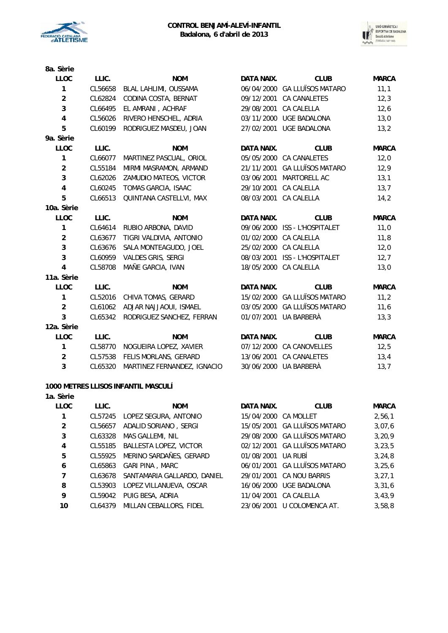



| 8a. Sèrie               |         |                             |                   |                               |              |
|-------------------------|---------|-----------------------------|-------------------|-------------------------------|--------------|
| <b>LLOC</b>             | LLIC.   | <b>NOM</b>                  | DATA NAIX.        | <b>CLUB</b>                   | <b>MARCA</b> |
| 1                       | CL56658 | BLAL LAHLIMI, OUSSAMA       |                   | 06/04/2000 GA LLUÏSOS MATARO  | 11,1         |
| $\overline{2}$          | CL62824 | CODINA COSTA, BERNAT        | 09/12/2001        | CA CANALETES                  | 12,3         |
| 3                       | CL66495 | EL AMRANI, ACHRAF           | 29/08/2001        | CA CALELLA                    | 12,6         |
| $\overline{4}$          | CL56026 | RIVERO HENSCHEL, ADRIA      | 03/11/2000        | UGE BADALONA                  | 13,0         |
| 5                       | CL60199 | RODRIGUEZ MASDEU, JOAN      | 27/02/2001        | <b>UGE BADALONA</b>           | 13,2         |
| 9a. Sèrie               |         |                             |                   |                               |              |
| <b>LLOC</b>             | LLIC.   | <b>NOM</b>                  | <b>DATA NAIX.</b> | <b>CLUB</b>                   | <b>MARCA</b> |
| 1                       | CL66077 | MARTINEZ PASCUAL, ORIOL     |                   | 05/05/2000 CA CANALETES       | 12,0         |
| $\overline{a}$          | CL55184 | MIRMI MASRAMON, ARMAND      | 21/11/2001        | <b>GA LLUÏSOS MATARO</b>      | 12,9         |
| 3                       | CL62026 | ZAMUDIO MATEOS, VICTOR      | 03/06/2001        | MARTORELL AC                  | 13,1         |
| $\overline{\mathbf{4}}$ | CL60245 | TOMAS GARCIA, ISAAC         | 29/10/2001        | <b>CA CALELLA</b>             | 13,7         |
| 5                       | CL66513 | QUINTANA CASTELLVI, MAX     | 08/03/2001        | <b>CA CALELLA</b>             | 14,2         |
| 10a. Sèrie              |         |                             |                   |                               |              |
| <b>LLOC</b>             | LLIC.   | <b>NOM</b>                  | DATA NAIX.        | <b>CLUB</b>                   | <b>MARCA</b> |
| 1                       | CL64614 | RUBIO ARBONA, DAVID         |                   | 09/06/2000 ISS - L'HOSPITALET | 11,0         |
| $\overline{2}$          | CL63677 | TIGRI VALDIVIA, ANTONIO     | 01/02/2000        | CA CALELLA                    | 11,8         |
| 3                       | CL63676 | SALA MONTEAGUDO, JOEL       |                   | 25/02/2000 CA CALELLA         | 12,0         |
| 3                       | CL60959 | <b>VALDES GRIS, SERGI</b>   | 08/03/2001        | ISS - L'HOSPITALET            | 12,7         |
| 4                       | CL58708 | MAÑE GARCIA, IVAN           | 18/05/2000        | CA CALELLA                    | 13,0         |
| 11a. Sèrie              |         |                             |                   |                               |              |
| LLOC                    | LLIC.   | <b>NOM</b>                  | DATA NAIX.        | <b>CLUB</b>                   | <b>MARCA</b> |
| 1                       | CL52016 | CHIVA TOMAS, GERARD         |                   | 15/02/2000 GA LLUÏSOS MATARO  | 11,2         |
| $\overline{2}$          | CL61062 | ADJAR NAJJAOUI, ISMAEL      | 03/05/2000        | <b>GA LLUÏSOS MATARO</b>      | 11,6         |
| 3                       | CL65342 | RODRIGUEZ SANCHEZ, FERRAN   | 01/07/2001        | UA BARBERÀ                    | 13,3         |
| 12a. Sèrie              |         |                             |                   |                               |              |
| <b>LLOC</b>             | LLIC.   | <b>NOM</b>                  | <b>DATA NAIX.</b> | <b>CLUB</b>                   | <b>MARCA</b> |
| 1                       | CL58770 | NOGUEIRA LOPEZ, XAVIER      |                   | 07/12/2000 CA CANOVELLES      | 12,5         |
| $\overline{2}$          | CL57538 | FELIS MORLANS, GERARD       | 13/06/2001        | CA CANALETES                  | 13,4         |
| 3                       | CL65320 | MARTINEZ FERNANDEZ, IGNACIO |                   | 30/06/2000 UA BARBERÀ         | 13,7         |

#### **1000 METRES LLISOS INFANTIL MASCULÍ**

| 1a. Sèrie      |         |                             |                      |                              |              |
|----------------|---------|-----------------------------|----------------------|------------------------------|--------------|
| <b>LLOC</b>    | LLIC.   | <b>NOM</b>                  | DATA NAIX.           | <b>CLUB</b>                  | <b>MARCA</b> |
|                | CL57245 | LOPEZ SEGURA, ANTONIO       | 15/04/2000 CA MOLLET |                              | 2,56,1       |
| $\overline{2}$ | CL56657 | ADALID SORIANO, SERGI       | 15/05/2001           | <b>GA LLUÏSOS MATARO</b>     | 3,07,6       |
| 3              | CL63328 | MAS GALLEMI, NIL            |                      | 29/08/2000 GA LLUÏSOS MATARO | 3,20,9       |
| 4              | CL55185 | BALLESTA LOPEZ, VICTOR      | 02/12/2001           | <b>GA LLUÏSOS MATARO</b>     | 3, 23, 5     |
| 5              | CL55925 | MERINO SARDAÑES, GERARD     | 01/08/2001           | UA RUBÍ                      | 3,24,8       |
| 6              | CL65863 | <b>GARI PINA, MARC</b>      | 06/01/2001           | <b>GA LLUÏSOS MATARO</b>     | 3,25,6       |
| 7              | CL63678 | SANTAMARIA GALLARDO, DANIEL | 29/01/2001           | CA NOU BARRIS                | 3,27,1       |
| 8              | CL53903 | LOPEZ VILLANUEVA, OSCAR     | 16/06/2000           | UGE BADALONA                 | 3,31,6       |
| 9              | CL59042 | PUIG BESA, ADRIA            | 11/04/2001           | CA CALELLA                   | 3,43,9       |
| 10             | CL64379 | MILLAN CEBALLORS, FIDEL     | 23/06/2001           | U COLOMENCA AT.              | 3,58,8       |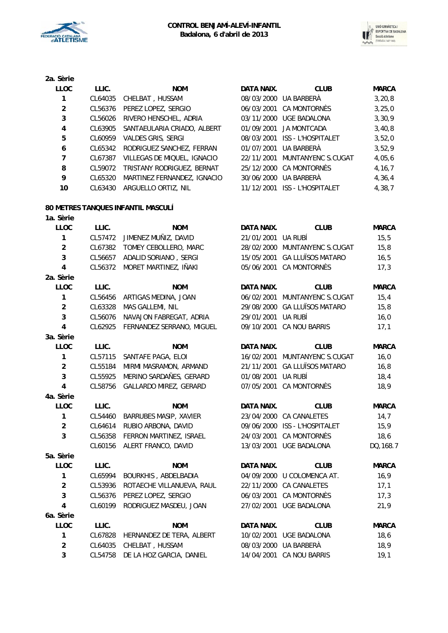

**2a. Sèrie**



| <b>LLOC</b>    | LLIC.   | <b>NOM</b>                        | DATA NAIX. | <b>CLUB</b>                   | <b>MARCA</b> |
|----------------|---------|-----------------------------------|------------|-------------------------------|--------------|
| 1              | CL64035 | CHELBAT, HUSSAM                   |            | 08/03/2000 UA BARBERÀ         | 3, 20, 8     |
| $\overline{2}$ | CL56376 | PEREZ LOPEZ, SERGIO               |            | 06/03/2001 CA MONTORNES       | 3,25,0       |
| 3              | CL56026 | RIVERO HENSCHEL, ADRIA            |            | 03/11/2000 UGE BADALONA       | 3,30,9       |
| 4              | CL63905 | SANTAEULARIA CRIADO, ALBERT       |            | 01/09/2001 JA MONTCADA        | 3,40,8       |
| 5              | CL60959 | VALDES GRIS, SERGI                |            | 08/03/2001 ISS - L'HOSPITALET | 3,52,0       |
| 6              |         | CL65342 RODRIGUEZ SANCHEZ, FERRAN |            | 01/07/2001 UA BARBERÀ         | 3,52,9       |
| 7              | CL67387 | VILLEGAS DE MIQUEL, IGNACIO       |            | 22/11/2001 MUNTANYENC S.CUGAT | 4,05,6       |
| 8              | CL59072 | TRISTANY RODRIGUEZ, BERNAT        |            | 25/12/2000 CA MONTORNES       | 4, 16, 7     |
| 9              | CL65320 | MARTINEZ FERNANDEZ, IGNACIO       |            | 30/06/2000 UA BARBERÀ         | 4,36,4       |
| 10             | CL63430 | ARGUELLO ORTIZ, NIL               | 11/12/2001 | <b>ISS - L'HOSPITALET</b>     | 4,38,7       |
|                |         |                                   |            |                               |              |

### **80 METRES TANQUES INFANTIL MASCULÍ**

| 1a. Sèrie               |         |                               |                   |                               |              |
|-------------------------|---------|-------------------------------|-------------------|-------------------------------|--------------|
| <b>LLOC</b>             | LLIC.   | <b>NOM</b>                    | <b>DATA NAIX.</b> | <b>CLUB</b>                   | <b>MARCA</b> |
| $\mathbf{1}$            | CL57472 | JIMENEZ MUÑIZ, DAVID          | 21/01/2001        | UA RUBÍ                       | 15, 5        |
| $\overline{2}$          | CL67382 | TOMEY CEBOLLERO, MARC         |                   | 28/02/2000 MUNTANYENC S.CUGAT | 15,8         |
| 3                       | CL56657 | ADALID SORIANO, SERGI         |                   | 15/05/2001 GA LLUÏSOS MATARO  | 16, 5        |
| 4                       | CL56372 | MORET MARTINEZ, IÑAKI         |                   | 05/06/2001 CA MONTORNÈS       | 17,3         |
| 2a. Sèrie               |         |                               |                   |                               |              |
| <b>LLOC</b>             | LLIC.   | <b>NOM</b>                    | <b>DATA NAIX.</b> | <b>CLUB</b>                   | <b>MARCA</b> |
| 1                       | CL56456 | ARTIGAS MEDINA, JOAN          |                   | 06/02/2001 MUNTANYENC S.CUGAT | 15,4         |
| $\overline{a}$          | CL63328 | MAS GALLEMI, NIL              |                   | 29/08/2000 GA LLUÏSOS MATARO  | 15,8         |
| 3                       | CL56076 | NAVAJON FABREGAT, ADRIA       | 29/01/2001        | UA RUBÍ                       | 16,0         |
| $\overline{\mathbf{4}}$ | CL62925 | FERNANDEZ SERRANO, MIGUEL     | 09/10/2001        | CA NOU BARRIS                 | 17,1         |
| 3a. Sèrie               |         |                               |                   |                               |              |
| <b>LLOC</b>             | LLIC.   | <b>NOM</b>                    | <b>DATA NAIX.</b> | <b>CLUB</b>                   | <b>MARCA</b> |
| $\mathbf{1}$            | CL57115 | SANTAFE PAGA, ELOI            |                   | 16/02/2001 MUNTANYENC S.CUGAT | 16,0         |
| $\overline{a}$          | CL55184 | MIRMI MASRAMON, ARMAND        | 21/11/2001        | <b>GA LLUÏSOS MATARO</b>      | 16,8         |
| 3                       | CL55925 | MERINO SARDAÑES, GERARD       | 01/08/2001        | UA RUBÍ                       | 18,4         |
| $\overline{\mathbf{4}}$ | CL58756 | GALLARDO MIREZ, GERARD        |                   | 07/05/2001 CA MONTORNÈS       | 18,9         |
| 4a. Sèrie               |         |                               |                   |                               |              |
| <b>LLOC</b>             | LLIC.   | <b>NOM</b>                    | DATA NAIX.        | <b>CLUB</b>                   | <b>MARCA</b> |
| 1                       | CL54460 | <b>BARRUBES MASIP, XAVIER</b> |                   | 23/04/2000 CA CANALETES       | 14,7         |
| $\overline{2}$          | CL64614 | RUBIO ARBONA, DAVID           |                   | 09/06/2000 ISS - L'HOSPITALET | 15,9         |
| 3                       | CL56358 | FERRON MARTINEZ, ISRAEL       | 24/03/2001        | <b>CA MONTORNÈS</b>           | 18,6         |
|                         | CL60156 | ALERT FRANCO, DAVID           |                   | 13/03/2001 UGE BADALONA       | DQ, 168.7    |
| 5a. Sèrie               |         |                               |                   |                               |              |
| <b>LLOC</b>             | LLIC.   | <b>NOM</b>                    | <b>DATA NAIX.</b> | <b>CLUB</b>                   | <b>MARCA</b> |
| 1                       | CL65994 | BOURKHIS, ABDELBADIA          |                   | 04/09/2000 U COLOMENCA AT.    | 16,9         |
| $\overline{2}$          | CL53936 | ROTAECHE VILLANUEVA, RAUL     |                   | 22/11/2000 CA CANALETES       | 17,1         |
| 3                       | CL56376 | PEREZ LOPEZ, SERGIO           |                   | 06/03/2001 CA MONTORNÈS       | 17,3         |
| $\overline{\mathbf{4}}$ | CL60199 | RODRIGUEZ MASDEU, JOAN        |                   | 27/02/2001 UGE BADALONA       | 21,9         |
| 6a. Sèrie               |         |                               |                   |                               |              |
| <b>LLOC</b>             | LLIC.   | <b>NOM</b>                    | DATA NAIX.        | <b>CLUB</b>                   | <b>MARCA</b> |
| $\mathbf{1}$            | CL67828 | HERNANDEZ DE TERA, ALBERT     |                   | 10/02/2001 UGE BADALONA       | 18,6         |
| $\overline{a}$          | CL64035 | CHELBAT, HUSSAM               |                   | 08/03/2000 UA BARBERÀ         | 18,9         |
| 3                       | CL54758 | DE LA HOZ GARCIA, DANIEL      | 14/04/2001        | CA NOU BARRIS                 | 19,1         |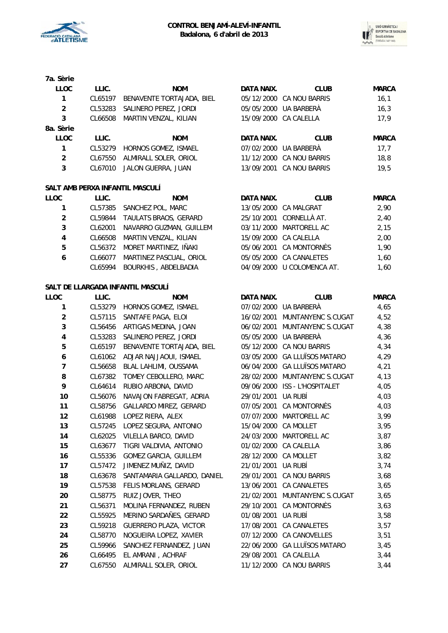



DATA NAIX. CLUB MARCA 05/12/2000 CA NOU BARRIS 16,1 CL53283 SALINERO PEREZ, JORDI 05/05/2000 UA BARBERÀ 16,3 CL66508 MARTIN VENZAL, KILIAN 15/09/2000 CA CALELLA 17,9

DATA NAIX. CLUB MARCA CL53279 HORNOS GOMEZ, ISMAEL 07/02/2000 UA BARBERÀ 17,7 CL67550 ALMIRALL SOLER, ORIOL 11/12/2000 CA NOU BARRIS 18,8 13/09/2001 CA NOU BARRIS 19,5

| 7a. Sèrie      |         |                           |
|----------------|---------|---------------------------|
| LLOC           | LLIC.   | <b>NOM</b>                |
| 1              | CL65197 | BENAVENTE TORTAJADA, BIEL |
| $\mathfrak{p}$ | CL53283 | SALINERO PEREZ, JORDI     |
| 3              | CL66508 | MARTIN VENZAL, KILIAN     |
| 8a. Sèrie      |         |                           |
| LLOC           | LLIC.   | NOM                       |
| 1              | CL53279 | HORNOS GOMEZ, ISMAEL      |
| $\mathfrak{p}$ | CL67550 | ALMIRALL SOLER, ORIOL     |
| 3              | CL67010 | JALON GUERRA, JUAN        |
|                |         |                           |

## **SALT AMB PERXA INFANTIL MASCULÍ**

| LLOC | LLIC.   | <b>NOM</b>              | DATA NAIX. | <b>CLUB</b>                | <b>MARCA</b> |
|------|---------|-------------------------|------------|----------------------------|--------------|
|      | CL57385 | SANCHEZ POL, MARC       |            | 13/05/2000 CA MALGRAT      | 2.90         |
| 2    | CL59844 | TAULATS BRAOS, GERARD   |            | 25/10/2001 CORNELLÀ AT.    | 2.40         |
| 3    | CL62001 | NAVARRO GUZMAN, GUILLEM |            | 03/11/2000 MARTORELL AC    | 2.15         |
| 4    | CL66508 | MARTIN VENZAL, KILIAN   |            | 15/09/2000 CA CALELLA      | 2,00         |
| 5    | CL56372 | MORET MARTINEZ, IÑAKI   |            | 05/06/2001 CA MONTORNÈS    | 1.90         |
| 6    | CL66077 | MARTINEZ PASCUAL, ORIOL |            | 05/05/2000 CA CANALETES    | 1.60         |
|      | CL65994 | BOURKHIS, ABDELBADIA    |            | 04/09/2000 U COLOMENCA AT. | 1,60         |

### **SALT DE LLARGADA INFANTIL MASCULÍ**

| LLOC           | LLIC.   | <b>NOM</b>                   | DATA NAIX. | <b>CLUB</b>               | <b>MARCA</b> |
|----------------|---------|------------------------------|------------|---------------------------|--------------|
| 1              | CL53279 | HORNOS GOMEZ, ISMAEL         |            | 07/02/2000 UA BARBERÀ     | 4,65         |
| $\overline{a}$ | CL57115 | SANTAFE PAGA, ELOI           | 16/02/2001 | MUNTANYENC S.CUGAT        | 4,52         |
| 3              | CL56456 | ARTIGAS MEDINA, JOAN         | 06/02/2001 | MUNTANYENC S.CUGAT        | 4,38         |
| $\pmb{4}$      | CL53283 | SALINERO PEREZ, JORDI        | 05/05/2000 | UA BARBERÀ                | 4,36         |
| 5              | CL65197 | BENAVENTE TORTAJADA, BIEL    | 05/12/2000 | CA NOU BARRIS             | 4,34         |
| 6              | CL61062 | ADJAR NAJJAOUI, ISMAEL       | 03/05/2000 | <b>GA LLUÏSOS MATARO</b>  | 4,29         |
| $\overline{7}$ | CL56658 | BLAL LAHLIMI, OUSSAMA        | 06/04/2000 | <b>GA LLUÏSOS MATARO</b>  | 4,21         |
| 8              | CL67382 | TOMEY CEBOLLERO, MARC        | 28/02/2000 | MUNTANYENC S.CUGAT        | 4,13         |
| 9              | CL64614 | RUBIO ARBONA, DAVID          | 09/06/2000 | <b>ISS - L'HOSPITALET</b> | 4,05         |
| 10             | CL56076 | NAVAJON FABREGAT, ADRIA      | 29/01/2001 | UA RUBÍ                   | 4,03         |
| 11             | CL58756 | GALLARDO MIREZ, GERARD       | 07/05/2001 | CA MONTORNÈS              | 4,03         |
| 12             | CL61988 | LOPEZ RIERA, ALEX            | 07/07/2000 | MARTORELL AC              | 3,99         |
| 13             | CL57245 | LOPEZ SEGURA, ANTONIO        | 15/04/2000 | CA MOLLET                 | 3,95         |
| 14             | CL62025 | VILELLA BARCO, DAVID         | 24/03/2000 | MARTORELL AC              | 3,87         |
| 15             | CL63677 | TIGRI VALDIVIA, ANTONIO      | 01/02/2000 | CA CALELLA                | 3,86         |
| 16             | CL55336 | <b>GOMEZ GARCIA, GUILLEM</b> | 28/12/2000 | <b>CA MOLLET</b>          | 3,82         |
| 17             | CL57472 | JIMENEZ MUÑIZ, DAVID         | 21/01/2001 | UA RUBÍ                   | 3,74         |
| 18             | CL63678 | SANTAMARIA GALLARDO, DANIEL  | 29/01/2001 | CA NOU BARRIS             | 3,68         |
| 19             | CL57538 | FELIS MORLANS, GERARD        | 13/06/2001 | <b>CA CANALETES</b>       | 3,65         |
| 20             | CL58775 | RUIZ JOVER, THEO             | 21/02/2001 | MUNTANYENC S.CUGAT        | 3,65         |
| 21             | CL56371 | MOLINA FERNANDEZ, RUBEN      | 29/10/2001 | CA MONTORNÈS              | 3,63         |
| 22             | CL55925 | MERINO SARDAÑES, GERARD      | 01/08/2001 | UA RUBÍ                   | 3,58         |
| 23             | CL59218 | GUERRERO PLAZA, VICTOR       | 17/08/2001 | CA CANALETES              | 3,57         |
| 24             | CL58770 | NOGUEIRA LOPEZ, XAVIER       | 07/12/2000 | CA CANOVELLES             | 3,51         |
| 25             | CL59966 | SANCHEZ FERNANDEZ, JUAN      | 22/06/2000 | <b>GA LLUÏSOS MATARO</b>  | 3,45         |
| 26             | CL66495 | EL AMRANI, ACHRAF            | 29/08/2001 | CA CALELLA                | 3,44         |
| 27             | CL67550 | ALMIRALL SOLER, ORIOL        | 11/12/2000 | <b>CA NOU BARRIS</b>      | 3,44         |
|                |         |                              |            |                           |              |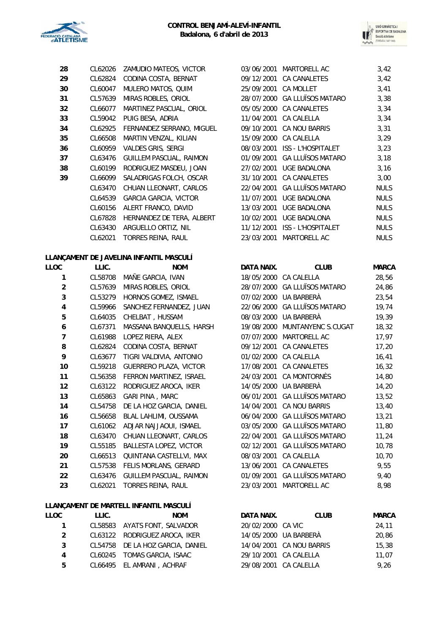

| 28 | CL62026 | ZAMUDIO MATEOS, VICTOR         | 03/06/2001           | <b>MARTORELL AC</b>           | 3,42  |
|----|---------|--------------------------------|----------------------|-------------------------------|-------|
| 29 | CL62824 | CODINA COSTA, BERNAT           |                      | 09/12/2001 CA CANALETES       | 3,42  |
| 30 | CL60047 | MULERO MATOS, QUIM             | 25/09/2001 CA MOLLET |                               | 3,41  |
| 31 | CL57639 | MIRAS ROBLES, ORIOL            |                      | 28/07/2000 GA LLUÏSOS MATARO  | 3,38  |
| 32 | CL66077 | MARTINEZ PASCUAL, ORIOL        |                      | 05/05/2000 CA CANALETES       | 3,34  |
| 33 | CL59042 | PUIG BESA, ADRIA               |                      | 11/04/2001 CA CALELLA         | 3,34  |
| 34 | CL62925 | FERNANDEZ SERRANO, MIGUEL      |                      | 09/10/2001 CA NOU BARRIS      | 3, 31 |
| 35 | CL66508 | MARTIN VENZAL, KILIAN          |                      | 15/09/2000 CA CALELLA         | 3,29  |
| 36 | CL60959 | VALDES GRIS, SERGI             |                      | 08/03/2001 ISS - L'HOSPITALET | 3,23  |
| 37 | CL63476 | <b>GUILLEM PASCUAL, RAIMON</b> |                      | 01/09/2001 GA LLUÏSOS MATARO  | 3,18  |
| 38 | CL60199 | RODRIGUEZ MASDEU, JOAN         |                      | 27/02/2001 UGE BADALONA       | 3,16  |
| 39 | CL66099 | SALADRIGAS FOLCH, OSCAR        |                      | 31/10/2001 CA CANALETES       | 3,00  |
|    | CL63470 | CHUAN LLEONART, CARLOS         | 22/04/2001           | <b>GA LLUÏSOS MATARO</b>      | NUL.  |
|    | CL64539 | <b>GARCIA GARCIA, VICTOR</b>   | 11/07/2001           | UGE BADALONA                  | NUL.  |
|    | CL60156 | ALERT FRANCO, DAVID            | 13/03/2001           | <b>UGE BADALONA</b>           | NUL.  |
|    | CL67828 | HERNANDEZ DE TERA, ALBERT      | 10/02/2001           | UGE BADALONA                  | NULS  |
|    | CL63430 | ARGUELLO ORTIZ, NIL            |                      | 11/12/2001 ISS - L'HOSPITALET | NUL.  |
|    | CL62021 | TORRES REINA, RAUL             | 23/03/2001           | MARTORELL AC                  | NUL.  |
|    |         |                                |                      |                               |       |

## **LLANÇAMENT DE JAVELINA INFANTIL MASCULÍ**

| LLOC           | LLIC.   | <b>NOM</b>                    | DATA NAIX. | <b>CLUB</b>              | <b>MARCA</b> |
|----------------|---------|-------------------------------|------------|--------------------------|--------------|
| 1              | CL58708 | MAÑE GARCIA, IVAN             | 18/05/2000 | <b>CA CALELLA</b>        | 28,56        |
| $\overline{a}$ | CL57639 | MIRAS ROBLES, ORIOL           | 28/07/2000 | <b>GA LLUÏSOS MATARO</b> | 24,86        |
| 3              | CL53279 | HORNOS GOMEZ, ISMAEL          | 07/02/2000 | UA BARBERÀ               | 23,54        |
| 4              | CL59966 | SANCHEZ FERNANDEZ, JUAN       | 22/06/2000 | <b>GA LLUÏSOS MATARO</b> | 19,74        |
| 5              | CL64035 | CHELBAT, HUSSAM               | 08/03/2000 | UA BARBERÀ               | 19,39        |
| 6              | CL67371 | MASSANA BANQUELLS, HARSH      | 19/08/2000 | MUNTANYENC S.CUGAT       | 18,32        |
| $\overline{7}$ | CL61988 | LOPEZ RIERA, ALEX             | 07/07/2000 | MARTORELL AC             | 17,97        |
| 8              | CL62824 | CODINA COSTA, BERNAT          | 09/12/2001 | CA CANALETES             | 17,20        |
| 9              | CL63677 | TIGRI VALDIVIA, ANTONIO       | 01/02/2000 | CA CALELLA               | 16,41        |
| 10             | CL59218 | <b>GUERRERO PLAZA, VICTOR</b> | 17/08/2001 | <b>CA CANALETES</b>      | 16, 32       |
| 11             | CL56358 | FERRON MARTINEZ, ISRAEL       | 24/03/2001 | CA MONTORNÈS             | 14,80        |
| 12             | CL63122 | RODRIGUEZ AROCA, IKER         | 14/05/2000 | UA BARBERÀ               | 14,20        |
| 13             | CL65863 | GARI PINA, MARC               | 06/01/2001 | <b>GA LLUÏSOS MATARO</b> | 13,52        |
| 14             | CL54758 | DE LA HOZ GARCIA, DANIEL      | 14/04/2001 | <b>CA NOU BARRIS</b>     | 13,40        |
| 16             | CL56658 | BLAL LAHLIMI, OUSSAMA         | 06/04/2000 | <b>GA LLUÏSOS MATARO</b> | 13,21        |
| 17             | CL61062 | ADJAR NAJJAOUI, ISMAEL        | 03/05/2000 | <b>GA LLUÏSOS MATARO</b> | 11,80        |
| 18             | CL63470 | CHUAN LLEONART, CARLOS        | 22/04/2001 | <b>GA LLUÏSOS MATARO</b> | 11,24        |
| 19             | CL55185 | <b>BALLESTA LOPEZ, VICTOR</b> | 02/12/2001 | <b>GA LLUÏSOS MATARO</b> | 10,78        |
| 20             | CL66513 | QUINTANA CASTELLVI, MAX       | 08/03/2001 | CA CALELLA               | 10,70        |
| 21             | CL57538 | FELIS MORLANS, GERARD         | 13/06/2001 | CA CANALETES             | 9,55         |
| 22             | CL63476 | GUILLEM PASCUAL, RAIMON       | 01/09/2001 | <b>GA LLUÏSOS MATARO</b> | 9,40         |
| 23             | CL62021 | TORRES REINA, RAUL            | 23/03/2001 | MARTORELL AC             | 8,98         |
|                |         |                               |            |                          |              |

## **LLANÇAMENT DE MARTELL INFANTIL MASCULÍ**

| LLOC | LLIC. | <b>NOM</b>                       | DATA NAIX.        | <b>CLUB</b>              | <b>MARCA</b> |
|------|-------|----------------------------------|-------------------|--------------------------|--------------|
|      |       | CL58583 AYATS FONT, SALVADOR     | 20/02/2000 CA VIC |                          | 24.11        |
| 2    |       | CL63122 RODRIGUEZ AROCA, IKER    |                   | 14/05/2000 UA BARBERÀ    | 20,86        |
| 3    |       | CL54758 DE LA HOZ GARCIA, DANIEL |                   | 14/04/2001 CA NOU BARRIS | 15,38        |
| 4    |       | CL60245 TOMAS GARCIA, ISAAC      |                   | 29/10/2001 CA CALELLA    | 11.07        |
| 5.   |       | CL66495 EL AMRANI, ACHRAF        |                   | 29/08/2001 CA CALELLA    | 9.26         |

| CL62026 | ZAMUDIO MATEOS, VICTOR       | 03/06/2001 | MARTORELL AC              | 3,42        |
|---------|------------------------------|------------|---------------------------|-------------|
| CL62824 | CODINA COSTA, BERNAT         | 09/12/2001 | <b>CA CANALETES</b>       | 3,42        |
| CL60047 | MULERO MATOS, QUIM           | 25/09/2001 | <b>CA MOLLET</b>          | 3,41        |
| CL57639 | MIRAS ROBLES, ORIOL          | 28/07/2000 | <b>GA LLUÏSOS MATARO</b>  | 3,38        |
| CL66077 | MARTINEZ PASCUAL, ORIOL      | 05/05/2000 | <b>CA CANALETES</b>       | 3,34        |
| CL59042 | PUIG BESA, ADRIA             | 11/04/2001 | CA CALELLA                | 3,34        |
| CL62925 | FERNANDEZ SERRANO, MIGUEL    | 09/10/2001 | CA NOU BARRIS             | 3,31        |
| CL66508 | MARTIN VENZAL, KILIAN        | 15/09/2000 | CA CALELLA                | 3,29        |
| CL60959 | VALDES GRIS, SERGI           | 08/03/2001 | <b>ISS - L'HOSPITALET</b> | 3,23        |
| CL63476 | GUILLEM PASCUAL, RAIMON      | 01/09/2001 | <b>GA LLUÏSOS MATARO</b>  | 3,18        |
| CL60199 | RODRIGUEZ MASDEU, JOAN       | 27/02/2001 | <b>UGE BADALONA</b>       | 3,16        |
| CL66099 | SALADRIGAS FOLCH, OSCAR      | 31/10/2001 | <b>CA CANALETES</b>       | 3,00        |
| CL63470 | CHUAN LLEONART, CARLOS       | 22/04/2001 | <b>GA LLUÏSOS MATARO</b>  | <b>NULS</b> |
| CL64539 | <b>GARCIA GARCIA, VICTOR</b> | 11/07/2001 | <b>UGE BADALONA</b>       | <b>NULS</b> |
| CL60156 | ALERT FRANCO, DAVID          | 13/03/2001 | UGE BADALONA              | <b>NULS</b> |
| CL67828 | HERNANDEZ DE TERA, ALBERT    | 10/02/2001 | <b>UGE BADALONA</b>       | <b>NULS</b> |
| CL63430 | ARGUELLO ORTIZ, NIL          | 11/12/2001 | ISS - L'HOSPITALET        | <b>NULS</b> |
| CL62021 | TORRES REINA, RAUL           | 23/03/2001 | MARTORELL AC              | <b>NULS</b> |
|         |                              |            |                           |             |

|                | LLIC.   | <b>NOM</b>                    | DATA NAIX. | <b>CLUB</b>                   | <b>MARCA</b> |
|----------------|---------|-------------------------------|------------|-------------------------------|--------------|
| 1              | CL58708 | MAÑE GARCIA, IVAN             | 18/05/2000 | CA CALELLA                    | 28,56        |
| $\overline{c}$ | CL57639 | MIRAS ROBLES, ORIOL           | 28/07/2000 | <b>GA LLUÏSOS MATARO</b>      | 24,86        |
| 3              | CL53279 | HORNOS GOMEZ, ISMAEL          | 07/02/2000 | UA BARBERÀ                    | 23,54        |
| 4              | CL59966 | SANCHEZ FERNANDEZ, JUAN       | 22/06/2000 | <b>GA LLUÏSOS MATARO</b>      | 19,74        |
| 5              | CL64035 | CHELBAT, HUSSAM               |            | 08/03/2000 UA BARBERÀ         | 19,39        |
| 6              | CL67371 | MASSANA BANQUELLS, HARSH      |            | 19/08/2000 MUNTANYENC S.CUGAT | 18,32        |
| 7              | CL61988 | LOPEZ RIERA, ALEX             | 07/07/2000 | MARTORELL AC                  | 17,97        |
| 8              | CL62824 | CODINA COSTA, BERNAT          |            | 09/12/2001 CA CANALETES       | 17,20        |
| 9              | CL63677 | TIGRI VALDIVIA, ANTONIO       |            | 01/02/2000 CA CALELLA         | 16, 41       |
| 10             | CL59218 | <b>GUERRERO PLAZA, VICTOR</b> | 17/08/2001 | CA CANALETES                  | 16, 32       |
| $\overline{1}$ | CL56358 | FERRON MARTINEZ, ISRAEL       | 24/03/2001 | CA MONTORNÈS                  | 14,80        |
| $\overline{2}$ | CL63122 | RODRIGUEZ AROCA, IKER         | 14/05/2000 | UA BARBERÀ                    | 14,20        |
| $\overline{3}$ | CL65863 | GARI PINA, MARC               | 06/01/2001 | <b>GA LLUÏSOS MATARO</b>      | 13,52        |
| 14             | CL54758 | DE LA HOZ GARCIA, DANIEL      |            | 14/04/2001 CA NOU BARRIS      | 13,40        |
| $\overline{6}$ | CL56658 | BLAL LAHLIMI, OUSSAMA         | 06/04/2000 | <b>GA LLUÏSOS MATARO</b>      | 13,21        |
| 7              | CL61062 | ADJAR NAJJAOUI, ISMAEL        |            | 03/05/2000 GA LLUÏSOS MATARO  | 11,80        |
| 8              | CL63470 | CHUAN LLEONART, CARLOS        | 22/04/2001 | <b>GA LLUÏSOS MATARO</b>      | 11,24        |
| 19             | CL55185 | BALLESTA LOPEZ, VICTOR        | 02/12/2001 | <b>GA LLUÏSOS MATARO</b>      | 10,78        |
| 20             | CL66513 | QUINTANA CASTELLVI, MAX       | 08/03/2001 | CA CALELLA                    | 10,70        |
| 21             | CL57538 | FELIS MORLANS, GERARD         | 13/06/2001 | CA CANALETES                  | 9,55         |
| 22             | CL63476 | GUILLEM PASCUAL, RAIMON       | 01/09/2001 | <b>GA LLUÏSOS MATARO</b>      | 9,40         |
| 23             | CL62021 | TORRES REINA, RAUL            | 23/03/2001 | MARTORELL AC                  | 8,98         |

| DATA NAIX.        | <b>CLUB</b>              | <b>MARCA</b> |
|-------------------|--------------------------|--------------|
| 20/02/2000 CA VIC |                          | 24,11        |
|                   | 14/05/2000 UA BARBERÀ    | 20.86        |
|                   | 14/04/2001 CA NOU BARRIS | 15,38        |
|                   | 29/10/2001 CA CALELLA    | 11.07        |
|                   | 29/08/2001 CA CALELLA    | 9.26         |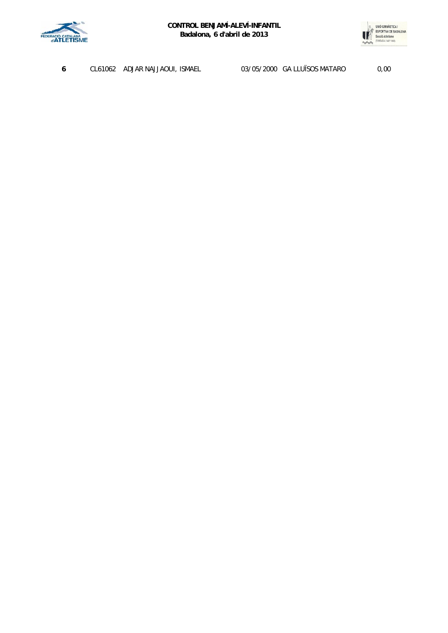



| ADJAR NAJJAOUI, ISMAEL<br>CL61062 |
|-----------------------------------|
|-----------------------------------|

**6** CL61062 ADJAR NAJJAOUI, ISMAEL 03/05/2000 GA LLUÏSOS MATARO 0,00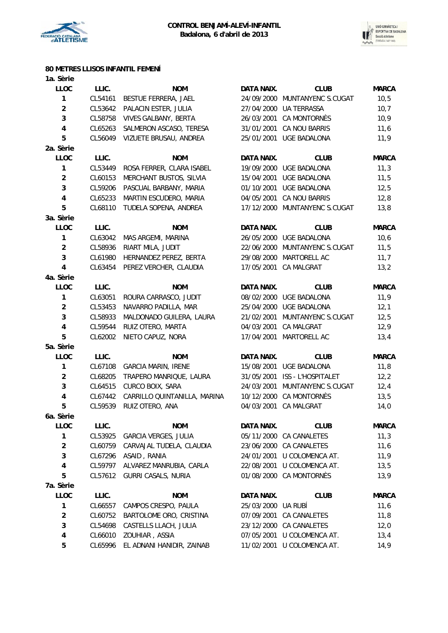



# **80 METRES LLISOS INFANTIL FEMENÍ**

| 1a. Sèrie               |         |                              |            |                     |              |
|-------------------------|---------|------------------------------|------------|---------------------|--------------|
| <b>LLOC</b>             | LLIC.   | <b>NOM</b>                   | DATA NAIX. | <b>CLUB</b>         | <b>MARCA</b> |
| 1                       | CL54161 | BESTUE FERRERA, JAEL         | 24/09/2000 | MUNTANYENC S.CUGAT  | 10, 5        |
| $\overline{c}$          | CL53642 | PALACIN ESTER, JULIA         | 27/04/2000 | <b>UA TERRASSA</b>  | 10,7         |
| 3                       | CL58758 | <b>VIVES GALBANY, BERTA</b>  | 26/03/2001 | CA MONTORNÈS        | 10,9         |
| $\overline{\mathbf{4}}$ | CL65263 | SALMERON ASCASO, TERESA      | 31/01/2001 | CA NOU BARRIS       | 11,6         |
| 5                       | CL56049 | VIZUETE BRUSAU, ANDREA       | 25/01/2001 | <b>UGE BADALONA</b> | 11,9         |
| 2a. Sèrie               |         |                              |            |                     |              |
| <b>LLOC</b>             | LLIC.   | <b>NOM</b>                   | DATA NAIX. | <b>CLUB</b>         | <b>MARCA</b> |
| 1                       | CL53449 | ROSA FERRER, CLARA ISABEL    | 19/09/2000 | UGE BADALONA        | 11,3         |
| $\boldsymbol{2}$        | CL60153 | MERCHANT BUSTOS, SILVIA      | 15/04/2001 | UGE BADALONA        | 11,5         |
| 3                       | CL59206 | PASCUAL BARBANY, MARIA       | 01/10/2001 | <b>UGE BADALONA</b> | 12,5         |
| $\overline{\mathbf{4}}$ | CL65233 | MARTIN ESCUDERO, MARIA       | 04/05/2001 | CA NOU BARRIS       | 12,8         |
| 5                       | CL68110 | TUDELA SOPENA, ANDREA        | 17/12/2000 | MUNTANYENC S.CUGAT  | 13,8         |
| 3a. Sèrie               |         |                              |            |                     |              |
| <b>LLOC</b>             | LLIC.   | <b>NOM</b>                   | DATA NAIX. | <b>CLUB</b>         | <b>MARCA</b> |
| 1                       | CL63042 | MAS ARGEMI, MARINA           | 26/05/2000 | UGE BADALONA        | 10,6         |
| $\overline{2}$          | CL58936 | RIART MILA, JUDIT            | 22/06/2000 | MUNTANYENC S.CUGAT  | 11,5         |
| 3                       | CL61980 | HERNANDEZ PEREZ, BERTA       | 29/08/2000 | MARTORELL AC        | 11,7         |
| 4                       | CL63454 | PEREZ VERCHER, CLAUDIA       | 17/05/2001 | CA MALGRAT          | 13,2         |
| 4a. Sèrie               |         |                              |            |                     |              |
| <b>LLOC</b>             | LLIC.   | <b>NOM</b>                   | DATA NAIX. | <b>CLUB</b>         | <b>MARCA</b> |
| 1                       | CL63051 | ROURA CARRASCO, JUDIT        | 08/02/2000 | UGE BADALONA        | 11,9         |
| $\overline{c}$          | CL53453 | NAVARRO PADILLA, MAR         | 25/04/2000 | UGE BADALONA        | 12,1         |
| 3                       | CL58933 | MALDONADO GUILERA, LAURA     | 21/02/2001 | MUNTANYENC S.CUGAT  | 12,5         |
| $\overline{\mathbf{4}}$ | CL59544 | RUIZ OTERO, MARTA            | 04/03/2001 | CA MALGRAT          | 12,9         |
| 5                       | CL62002 | NIETO CAPUZ, NORA            | 17/04/2001 | MARTORELL AC        | 13,4         |
| 5a. Sèrie               |         |                              |            |                     |              |
| <b>LLOC</b>             | LLIC.   | <b>NOM</b>                   | DATA NAIX. | <b>CLUB</b>         | <b>MARCA</b> |
| 1                       | CL67108 | <b>GARCIA MARIN, IRENE</b>   | 15/08/2001 | UGE BADALONA        | 11,8         |
| $\overline{a}$          | CL68205 | TRAPERO MANRIQUE, LAURA      | 31/05/2001 | ISS - L'HOSPITALET  | 12, 2        |
| 3                       | CL64515 | CURCO BOIX, SARA             | 24/03/2001 | MUNTANYENC S.CUGAT  | 12,4         |
| 4                       | CL67442 | CARRILLO QUINTANILLA, MARINA | 10/12/2000 | CA MONTORNÈS        | 13,5         |
| 5                       | CL59539 | RUIZ OTERO, ANA              | 04/03/2001 | <b>CA MALGRAT</b>   | 14,0         |
| 6a. Sèrie               |         |                              |            |                     |              |
| <b>LLOC</b>             | LLIC.   | <b>NOM</b>                   | DATA NAIX. | <b>CLUB</b>         | <b>MARCA</b> |
| $\mathbf{1}$            | CL53925 | GARCIA VERGES, JULIA         | 05/11/2000 | CA CANALETES        | 11,3         |
| $\overline{\mathbf{c}}$ | CL60759 | CARVAJAL TUDELA, CLAUDIA     | 23/06/2000 | CA CANALETES        | 11,6         |
| 3                       | CL67296 | ASAID, RANIA                 | 24/01/2001 | U COLOMENCA AT.     | 11,9         |
| 4                       | CL59797 | ALVAREZ MANRUBIA, CARLA      | 22/08/2001 | U COLOMENCA AT.     | 13,5         |
| 5                       | CL57612 | GURRI CASALS, NURIA          | 01/08/2000 | CA MONTORNÈS        | 13,9         |
| 7a. Sèrie               |         |                              |            |                     |              |
| LLOC                    | LLIC.   | <b>NOM</b>                   | DATA NAIX. | <b>CLUB</b>         | <b>MARCA</b> |
| 1                       | CL66557 | CAMPOS CRESPO, PAULA         | 25/03/2000 | UA RUBÍ             | 11,6         |
| $\overline{2}$          | CL60752 | BARTOLOME ORO, CRISTINA      | 07/09/2001 | CA CANALETES        | 11,8         |
| 3                       | CL54698 | CASTELLS LLACH, JULIA        | 23/12/2000 | CA CANALETES        | 12,0         |
| 4                       | CL66010 | ZOUHIAR, ASSIA               | 07/05/2001 | U COLOMENCA AT.     | 13,4         |
| 5                       |         |                              |            |                     |              |
|                         | CL65996 | EL ADNANI HANIDIR, ZAINAB    | 11/02/2001 | U COLOMENCA AT.     | 14,9         |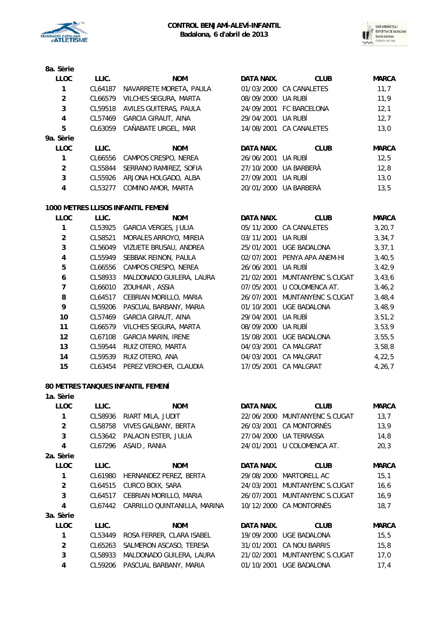



| 8a. Sèrie |  |
|-----------|--|
| LLOC.     |  |

| <b>LLOC</b>    | LLIC.   | <b>NOM</b>                 | DATA NAIX.         | <b>CLUB</b>             | <b>MARCA</b> |
|----------------|---------|----------------------------|--------------------|-------------------------|--------------|
|                | CL64187 | NAVARRETE MORETA, PAULA    |                    | 01/03/2000 CA CANALETES | 11,7         |
| $\overline{2}$ | CL66579 | VILCHES SEGURA, MARTA      | 08/09/2000 UA RUBÍ |                         | 11,9         |
| 3              | CL59518 | AVILES GUITERAS, PAULA     |                    | 24/09/2001 FC BARCELONA | 12,1         |
| 4              | CL57469 | <b>GARCIA GIRAUT, AINA</b> | 29/04/2001         | UA RUBÍ                 | 12,7         |
| 5              | CL63059 | CAÑABATE URGEL, MAR        | 14/08/2001         | CA CANALETES            | 13,0         |
| 9a. Sèrie      |         |                            |                    |                         |              |
| <b>LLOC</b>    | LLIC.   | <b>NOM</b>                 | DATA NAIX.         | <b>CLUB</b>             | <b>MARCA</b> |
|                | CL66556 | CAMPOS CRESPO, NEREA       | 26/06/2001         | UA RUBÍ                 | 12.5         |
| $\overline{2}$ | CL55844 | SERRANO RAMIREZ, SOFIA     | 27/10/2000         | UA BARBERÀ              | 12.8         |
| 3              | CL55926 | ARJONA HOLGADO, ALBA       | 27/09/2001         | UA RUBI                 | 13.0         |
| 4              | CL53277 | COMINO AMOR, MARTA         | 20/01/2000         | UA BARBERÀ              | 13.5         |
|                |         |                            |                    |                         |              |

### **1000 METRES LLISOS INFANTIL FEMENÍ**

| LLOC           | LLIC.   | <b>NOM</b>                  | DATA NAIX. | <b>CLUB</b>             | <b>MARCA</b> |
|----------------|---------|-----------------------------|------------|-------------------------|--------------|
|                | CL53925 | <b>GARCIA VERGES, JULIA</b> |            | 05/11/2000 CA CANALETES | 3, 20, 7     |
| $\overline{2}$ | CL58521 | MORALES ARROYO, MIREIA      | 03/11/2001 | UA RUBÍ                 | 3,34,7       |
| 3              | CL56049 | VIZUETE BRUSAU, ANDREA      | 25/01/2001 | <b>UGE BADALONA</b>     | 3, 37, 1     |
| 4              | CL55949 | SEBBAK REINON, PAULA        | 02/07/2001 | PENYA APA ANEM-HI       | 3,40,5       |
| 5              | CL66556 | CAMPOS CRESPO, NEREA        | 26/06/2001 | UA RUBÍ                 | 3,42,9       |
| 6              | CL58933 | MALDONADO GUILERA, LAURA    | 21/02/2001 | MUNTANYENC S.CUGAT      | 3,43,6       |
| 7              | CL66010 | ZOUHIAR, ASSIA              | 07/05/2001 | U COLOMENCA AT.         | 3,46,2       |
| 8              | CL64517 | CEBRIAN MORILLO, MARIA      | 26/07/2001 | MUNTANYENC S.CUGAT      | 3,48,4       |
| 9              | CL59206 | PASCUAL BARBANY, MARIA      | 01/10/2001 | <b>UGE BADALONA</b>     | 3,48,9       |
| 10             | CL57469 | <b>GARCIA GIRAUT, AINA</b>  | 29/04/2001 | UA RUBÍ                 | 3, 51, 2     |
| 11             | CL66579 | VILCHES SEGURA, MARTA       | 08/09/2000 | UA RUBÍ                 | 3,53,9       |
| 12             | CL67108 | <b>GARCIA MARIN, IRENE</b>  | 15/08/2001 | <b>UGE BADALONA</b>     | 3,55,5       |
| 13             | CL59544 | RUIZ OTERO, MARTA           | 04/03/2001 | <b>CA MALGRAT</b>       | 3,58,8       |
| 14             | CL59539 | RUIZ OTERO, ANA             | 04/03/2001 | <b>CA MALGRAT</b>       | 4, 22, 5     |
| 15             | CL63454 | PEREZ VERCHER, CLAUDIA      | 17/05/2001 | <b>CA MALGRAT</b>       | 4,26,7       |

### **80 METRES TANQUES INFANTIL FEMENÍ**

## **1a. Sèrie LLOC LLIC. NOM DATA NAIX. CLUB MARCA 1** CL58936 RIART MILA, JUDIT 22/06/2000 MUNTANYENC S.CUGAT 13,7 **2** CL58758 VIVES GALBANY, BERTA 26/03/2001 CA MONTORNÈS 13,9 **3** CL53642 PALACIN ESTER, JULIA 27/04/2000 UA TERRASSA 14,8 **4** CL67296 ASAID , RANIA 24/01/2001 U COLOMENCA AT. 20,3 **2a. Sèrie LLOC LLIC. NOM DATA NAIX. CLUB MARCA 1** CL61980 HERNANDEZ PEREZ, BERTA 29/08/2000 MARTORELL AC 15,1 **2** CL64515 CURCO BOIX, SARA 24/03/2001 MUNTANYENC S.CUGAT 16,6 **3** CL64517 CEBRIAN MORILLO, MARIA 26/07/2001 MUNTANYENC S.CUGAT 16,9 **4** CL67442 CARRILLO QUINTANILLA, MARINA 10/12/2000 CA MONTORNÈS 18,7 **3a. Sèrie LLOC LLIC. NOM DATA NAIX. CLUB MARCA 1** CL53449 ROSA FERRER, CLARA ISABEL 19/09/2000 UGE BADALONA 15,5 **2** CL65263 SALMERON ASCASO, TERESA 31/01/2001 CA NOU BARRIS 15,8 **3** CL58933 MALDONADO GUILERA, LAURA 21/02/2001 MUNTANYENC S.CUGAT 17,0 **4** CL59206 PASCUAL BARBANY, MARIA 01/10/2001 UGE BADALONA 17,4